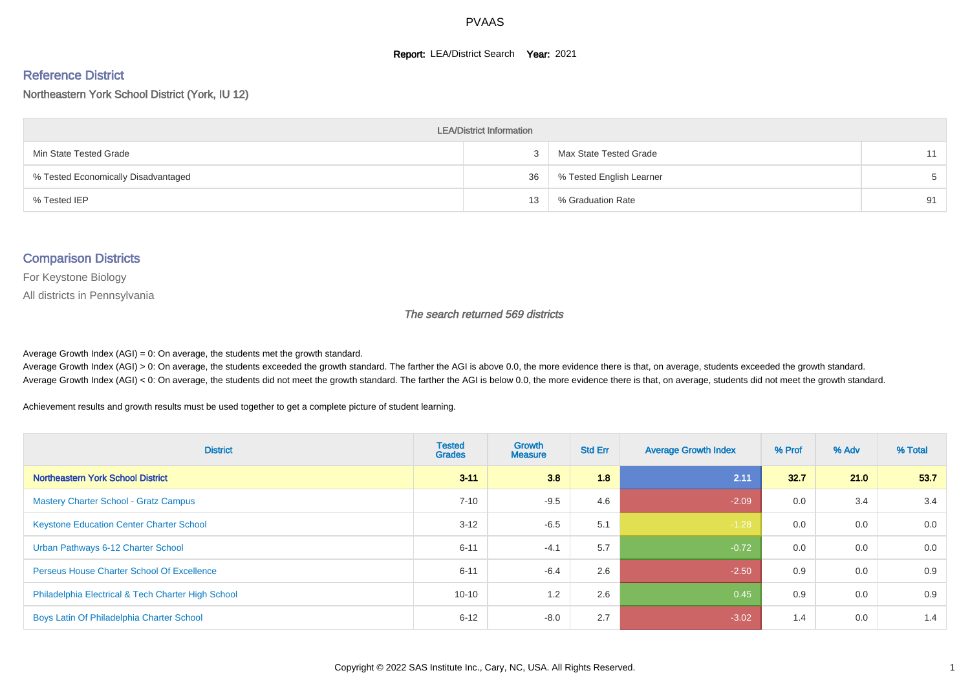#### **Report: LEA/District Search Year: 2021**

#### Reference District

#### Northeastern York School District (York, IU 12)

| <b>LEA/District Information</b>     |    |                          |    |  |  |  |  |  |  |  |
|-------------------------------------|----|--------------------------|----|--|--|--|--|--|--|--|
| Min State Tested Grade              |    | Max State Tested Grade   | 11 |  |  |  |  |  |  |  |
| % Tested Economically Disadvantaged | 36 | % Tested English Learner | 5  |  |  |  |  |  |  |  |
| % Tested IEP                        | 13 | % Graduation Rate        | 91 |  |  |  |  |  |  |  |

#### Comparison Districts

For Keystone Biology

All districts in Pennsylvania

The search returned 569 districts

Average Growth Index  $(AGI) = 0$ : On average, the students met the growth standard.

Average Growth Index (AGI) > 0: On average, the students exceeded the growth standard. The farther the AGI is above 0.0, the more evidence there is that, on average, students exceeded the growth standard. Average Growth Index (AGI) < 0: On average, the students did not meet the growth standard. The farther the AGI is below 0.0, the more evidence there is that, on average, students did not meet the growth standard.

Achievement results and growth results must be used together to get a complete picture of student learning.

| <b>District</b>                                    | <b>Tested</b><br><b>Grades</b> | <b>Growth</b><br><b>Measure</b> | <b>Std Err</b> | <b>Average Growth Index</b> | % Prof | % Adv | % Total |
|----------------------------------------------------|--------------------------------|---------------------------------|----------------|-----------------------------|--------|-------|---------|
| Northeastern York School District                  | $3 - 11$                       | 3.8                             | 1.8            | 2.11                        | 32.7   | 21.0  | 53.7    |
| <b>Mastery Charter School - Gratz Campus</b>       | $7 - 10$                       | $-9.5$                          | 4.6            | $-2.09$                     | 0.0    | 3.4   | 3.4     |
| <b>Keystone Education Center Charter School</b>    | $3 - 12$                       | $-6.5$                          | 5.1            | $-1.28$                     | 0.0    | 0.0   | 0.0     |
| Urban Pathways 6-12 Charter School                 | $6 - 11$                       | $-4.1$                          | 5.7            | $-0.72$                     | 0.0    | 0.0   | 0.0     |
| <b>Perseus House Charter School Of Excellence</b>  | $6 - 11$                       | $-6.4$                          | 2.6            | $-2.50$                     | 0.9    | 0.0   | 0.9     |
| Philadelphia Electrical & Tech Charter High School | $10 - 10$                      | 1.2                             | 2.6            | 0.45                        | 0.9    | 0.0   | 0.9     |
| Boys Latin Of Philadelphia Charter School          | $6 - 12$                       | $-8.0$                          | 2.7            | $-3.02$                     | 1.4    | 0.0   | 1.4     |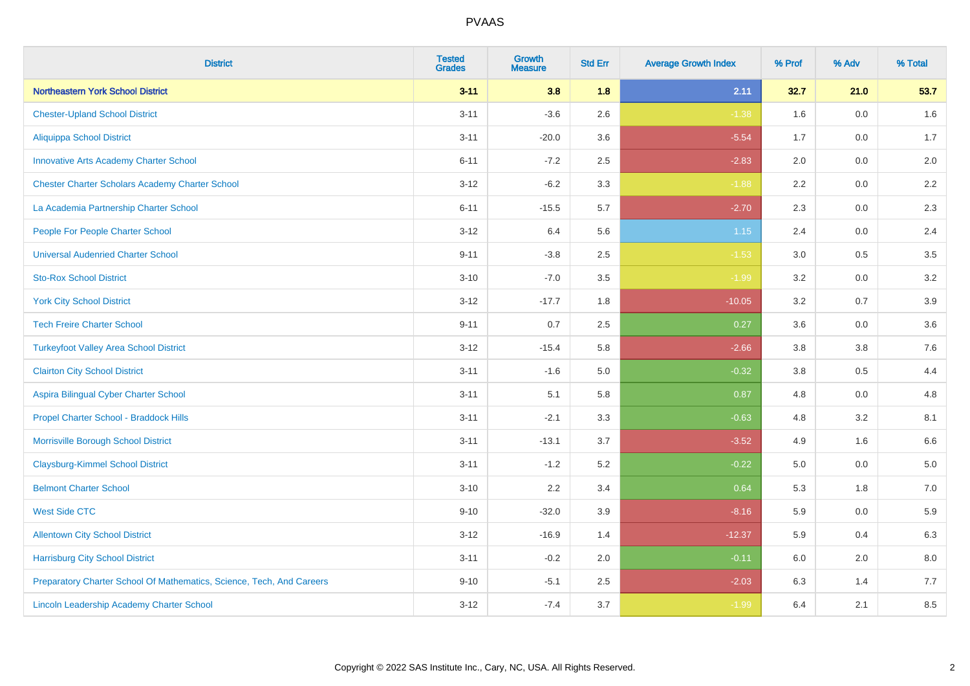| <b>District</b>                                                       | <b>Tested</b><br><b>Grades</b> | <b>Growth</b><br><b>Measure</b> | <b>Std Err</b> | <b>Average Growth Index</b> | % Prof  | % Adv | % Total |
|-----------------------------------------------------------------------|--------------------------------|---------------------------------|----------------|-----------------------------|---------|-------|---------|
| <b>Northeastern York School District</b>                              | $3 - 11$                       | 3.8                             | 1.8            | 2.11                        | 32.7    | 21.0  | 53.7    |
| <b>Chester-Upland School District</b>                                 | $3 - 11$                       | $-3.6$                          | 2.6            | $-1.38$                     | 1.6     | 0.0   | $1.6\,$ |
| <b>Aliquippa School District</b>                                      | $3 - 11$                       | $-20.0$                         | 3.6            | $-5.54$                     | 1.7     | 0.0   | 1.7     |
| <b>Innovative Arts Academy Charter School</b>                         | $6 - 11$                       | $-7.2$                          | 2.5            | $-2.83$                     | 2.0     | 0.0   | 2.0     |
| <b>Chester Charter Scholars Academy Charter School</b>                | $3 - 12$                       | $-6.2$                          | 3.3            | $-1.88$                     | 2.2     | 0.0   | $2.2\,$ |
| La Academia Partnership Charter School                                | $6 - 11$                       | $-15.5$                         | 5.7            | $-2.70$                     | 2.3     | 0.0   | 2.3     |
| People For People Charter School                                      | $3 - 12$                       | 6.4                             | 5.6            | 1.15                        | 2.4     | 0.0   | 2.4     |
| <b>Universal Audenried Charter School</b>                             | $9 - 11$                       | $-3.8$                          | 2.5            | $-1.53$                     | 3.0     | 0.5   | 3.5     |
| <b>Sto-Rox School District</b>                                        | $3 - 10$                       | $-7.0$                          | 3.5            | $-1.99$                     | 3.2     | 0.0   | $3.2\,$ |
| <b>York City School District</b>                                      | $3 - 12$                       | $-17.7$                         | 1.8            | $-10.05$                    | 3.2     | 0.7   | 3.9     |
| <b>Tech Freire Charter School</b>                                     | $9 - 11$                       | 0.7                             | 2.5            | 0.27                        | 3.6     | 0.0   | 3.6     |
| <b>Turkeyfoot Valley Area School District</b>                         | $3 - 12$                       | $-15.4$                         | 5.8            | $-2.66$                     | 3.8     | 3.8   | 7.6     |
| <b>Clairton City School District</b>                                  | $3 - 11$                       | $-1.6$                          | 5.0            | $-0.32$                     | $3.8\,$ | 0.5   | 4.4     |
| Aspira Bilingual Cyber Charter School                                 | $3 - 11$                       | 5.1                             | 5.8            | 0.87                        | 4.8     | 0.0   | 4.8     |
| Propel Charter School - Braddock Hills                                | $3 - 11$                       | $-2.1$                          | 3.3            | $-0.63$                     | 4.8     | 3.2   | 8.1     |
| Morrisville Borough School District                                   | $3 - 11$                       | $-13.1$                         | 3.7            | $-3.52$                     | 4.9     | 1.6   | 6.6     |
| <b>Claysburg-Kimmel School District</b>                               | $3 - 11$                       | $-1.2$                          | 5.2            | $-0.22$                     | 5.0     | 0.0   | 5.0     |
| <b>Belmont Charter School</b>                                         | $3 - 10$                       | 2.2                             | 3.4            | 0.64                        | 5.3     | 1.8   | $7.0\,$ |
| <b>West Side CTC</b>                                                  | $9 - 10$                       | $-32.0$                         | 3.9            | $-8.16$                     | 5.9     | 0.0   | 5.9     |
| <b>Allentown City School District</b>                                 | $3 - 12$                       | $-16.9$                         | 1.4            | $-12.37$                    | 5.9     | 0.4   | 6.3     |
| <b>Harrisburg City School District</b>                                | $3 - 11$                       | $-0.2$                          | 2.0            | $-0.11$                     | 6.0     | 2.0   | 8.0     |
| Preparatory Charter School Of Mathematics, Science, Tech, And Careers | $9 - 10$                       | $-5.1$                          | 2.5            | $-2.03$                     | 6.3     | 1.4   | 7.7     |
| Lincoln Leadership Academy Charter School                             | $3 - 12$                       | $-7.4$                          | 3.7            | $-1.99$                     | 6.4     | 2.1   | 8.5     |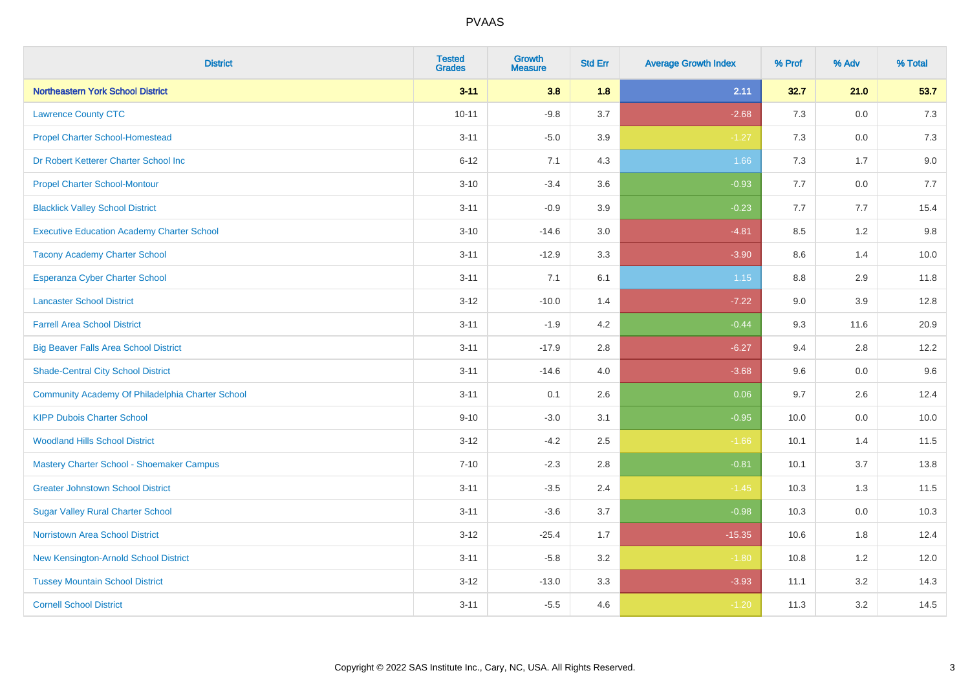| <b>District</b>                                   | <b>Tested</b><br><b>Grades</b> | <b>Growth</b><br><b>Measure</b> | <b>Std Err</b> | <b>Average Growth Index</b> | % Prof | % Adv   | % Total |
|---------------------------------------------------|--------------------------------|---------------------------------|----------------|-----------------------------|--------|---------|---------|
| Northeastern York School District                 | $3 - 11$                       | 3.8                             | 1.8            | 2.11                        | 32.7   | 21.0    | 53.7    |
| <b>Lawrence County CTC</b>                        | $10 - 11$                      | $-9.8$                          | 3.7            | $-2.68$                     | 7.3    | 0.0     | $7.3$   |
| <b>Propel Charter School-Homestead</b>            | $3 - 11$                       | $-5.0$                          | 3.9            | $-1.27$                     | 7.3    | 0.0     | 7.3     |
| Dr Robert Ketterer Charter School Inc             | $6 - 12$                       | 7.1                             | 4.3            | 1.66                        | $7.3$  | 1.7     | 9.0     |
| <b>Propel Charter School-Montour</b>              | $3 - 10$                       | $-3.4$                          | 3.6            | $-0.93$                     | 7.7    | 0.0     | 7.7     |
| <b>Blacklick Valley School District</b>           | $3 - 11$                       | $-0.9$                          | 3.9            | $-0.23$                     | 7.7    | 7.7     | 15.4    |
| <b>Executive Education Academy Charter School</b> | $3 - 10$                       | $-14.6$                         | 3.0            | $-4.81$                     | 8.5    | 1.2     | 9.8     |
| <b>Tacony Academy Charter School</b>              | $3 - 11$                       | $-12.9$                         | 3.3            | $-3.90$                     | 8.6    | 1.4     | 10.0    |
| <b>Esperanza Cyber Charter School</b>             | $3 - 11$                       | 7.1                             | 6.1            | 1.15                        | 8.8    | 2.9     | 11.8    |
| <b>Lancaster School District</b>                  | $3 - 12$                       | $-10.0$                         | 1.4            | $-7.22$                     | 9.0    | 3.9     | 12.8    |
| <b>Farrell Area School District</b>               | $3 - 11$                       | $-1.9$                          | 4.2            | $-0.44$                     | 9.3    | 11.6    | 20.9    |
| <b>Big Beaver Falls Area School District</b>      | $3 - 11$                       | $-17.9$                         | 2.8            | $-6.27$                     | 9.4    | 2.8     | 12.2    |
| <b>Shade-Central City School District</b>         | $3 - 11$                       | $-14.6$                         | 4.0            | $-3.68$                     | 9.6    | 0.0     | 9.6     |
| Community Academy Of Philadelphia Charter School  | $3 - 11$                       | 0.1                             | 2.6            | 0.06                        | 9.7    | 2.6     | 12.4    |
| <b>KIPP Dubois Charter School</b>                 | $9 - 10$                       | $-3.0$                          | 3.1            | $-0.95$                     | 10.0   | 0.0     | 10.0    |
| <b>Woodland Hills School District</b>             | $3 - 12$                       | $-4.2$                          | 2.5            | $-1.66$                     | 10.1   | 1.4     | 11.5    |
| Mastery Charter School - Shoemaker Campus         | $7 - 10$                       | $-2.3$                          | 2.8            | $-0.81$                     | 10.1   | 3.7     | 13.8    |
| <b>Greater Johnstown School District</b>          | $3 - 11$                       | $-3.5$                          | 2.4            | $-1.45$                     | 10.3   | 1.3     | 11.5    |
| <b>Sugar Valley Rural Charter School</b>          | $3 - 11$                       | $-3.6$                          | 3.7            | $-0.98$                     | 10.3   | $0.0\,$ | 10.3    |
| Norristown Area School District                   | $3 - 12$                       | $-25.4$                         | 1.7            | $-15.35$                    | 10.6   | 1.8     | 12.4    |
| New Kensington-Arnold School District             | $3 - 11$                       | $-5.8$                          | 3.2            | $-1.80$                     | 10.8   | 1.2     | 12.0    |
| <b>Tussey Mountain School District</b>            | $3 - 12$                       | $-13.0$                         | 3.3            | $-3.93$                     | 11.1   | 3.2     | 14.3    |
| <b>Cornell School District</b>                    | $3 - 11$                       | $-5.5$                          | 4.6            | $-1.20$                     | 11.3   | 3.2     | 14.5    |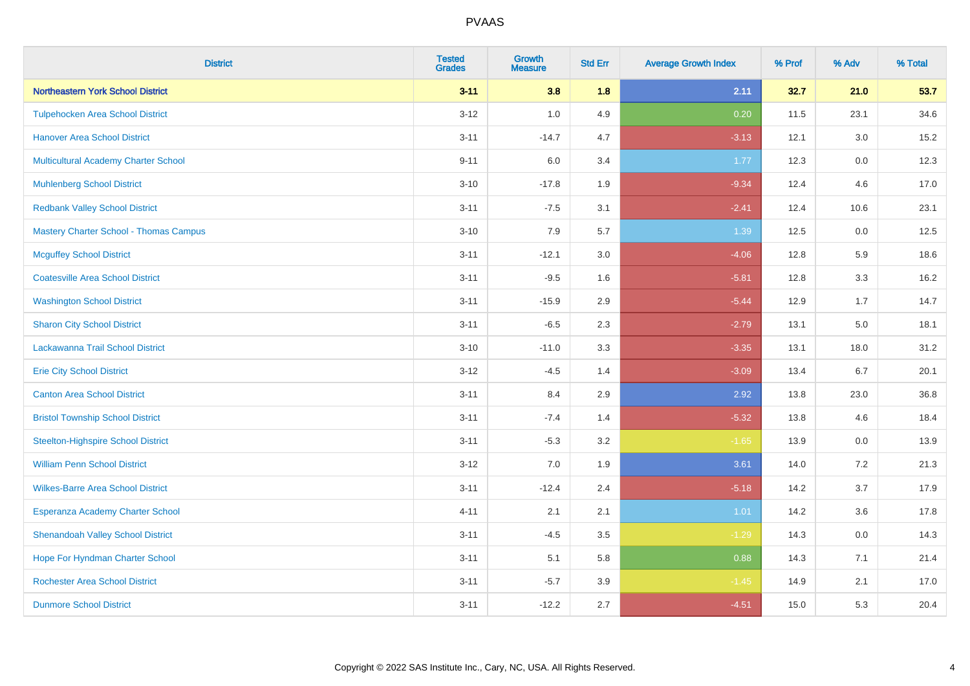| <b>District</b>                               | <b>Tested</b><br><b>Grades</b> | <b>Growth</b><br><b>Measure</b> | <b>Std Err</b> | <b>Average Growth Index</b> | % Prof | % Adv   | % Total |
|-----------------------------------------------|--------------------------------|---------------------------------|----------------|-----------------------------|--------|---------|---------|
| Northeastern York School District             | $3 - 11$                       | 3.8                             | 1.8            | 2.11                        | 32.7   | 21.0    | 53.7    |
| <b>Tulpehocken Area School District</b>       | $3 - 12$                       | 1.0                             | 4.9            | 0.20                        | 11.5   | 23.1    | 34.6    |
| <b>Hanover Area School District</b>           | $3 - 11$                       | $-14.7$                         | 4.7            | $-3.13$                     | 12.1   | 3.0     | 15.2    |
| Multicultural Academy Charter School          | $9 - 11$                       | 6.0                             | 3.4            | 1.77                        | 12.3   | 0.0     | 12.3    |
| <b>Muhlenberg School District</b>             | $3 - 10$                       | $-17.8$                         | 1.9            | $-9.34$                     | 12.4   | 4.6     | 17.0    |
| <b>Redbank Valley School District</b>         | $3 - 11$                       | $-7.5$                          | 3.1            | $-2.41$                     | 12.4   | 10.6    | 23.1    |
| <b>Mastery Charter School - Thomas Campus</b> | $3 - 10$                       | 7.9                             | 5.7            | 1.39                        | 12.5   | 0.0     | 12.5    |
| <b>Mcguffey School District</b>               | $3 - 11$                       | $-12.1$                         | 3.0            | $-4.06$                     | 12.8   | 5.9     | 18.6    |
| <b>Coatesville Area School District</b>       | $3 - 11$                       | $-9.5$                          | 1.6            | $-5.81$                     | 12.8   | 3.3     | 16.2    |
| <b>Washington School District</b>             | $3 - 11$                       | $-15.9$                         | 2.9            | $-5.44$                     | 12.9   | 1.7     | 14.7    |
| <b>Sharon City School District</b>            | $3 - 11$                       | $-6.5$                          | 2.3            | $-2.79$                     | 13.1   | 5.0     | 18.1    |
| Lackawanna Trail School District              | $3 - 10$                       | $-11.0$                         | 3.3            | $-3.35$                     | 13.1   | 18.0    | 31.2    |
| <b>Erie City School District</b>              | $3 - 12$                       | $-4.5$                          | 1.4            | $-3.09$                     | 13.4   | 6.7     | 20.1    |
| <b>Canton Area School District</b>            | $3 - 11$                       | 8.4                             | 2.9            | 2.92                        | 13.8   | 23.0    | 36.8    |
| <b>Bristol Township School District</b>       | $3 - 11$                       | $-7.4$                          | 1.4            | $-5.32$                     | 13.8   | 4.6     | 18.4    |
| <b>Steelton-Highspire School District</b>     | $3 - 11$                       | $-5.3$                          | 3.2            | $-1.65$                     | 13.9   | $0.0\,$ | 13.9    |
| <b>William Penn School District</b>           | $3 - 12$                       | 7.0                             | 1.9            | 3.61                        | 14.0   | 7.2     | 21.3    |
| <b>Wilkes-Barre Area School District</b>      | $3 - 11$                       | $-12.4$                         | 2.4            | $-5.18$                     | 14.2   | 3.7     | 17.9    |
| Esperanza Academy Charter School              | $4 - 11$                       | 2.1                             | 2.1            | 1.01                        | 14.2   | 3.6     | 17.8    |
| <b>Shenandoah Valley School District</b>      | $3 - 11$                       | $-4.5$                          | 3.5            | $-1.29$                     | 14.3   | 0.0     | 14.3    |
| Hope For Hyndman Charter School               | $3 - 11$                       | 5.1                             | 5.8            | 0.88                        | 14.3   | 7.1     | 21.4    |
| <b>Rochester Area School District</b>         | $3 - 11$                       | $-5.7$                          | 3.9            | $-1.45$                     | 14.9   | 2.1     | 17.0    |
| <b>Dunmore School District</b>                | $3 - 11$                       | $-12.2$                         | 2.7            | $-4.51$                     | 15.0   | 5.3     | 20.4    |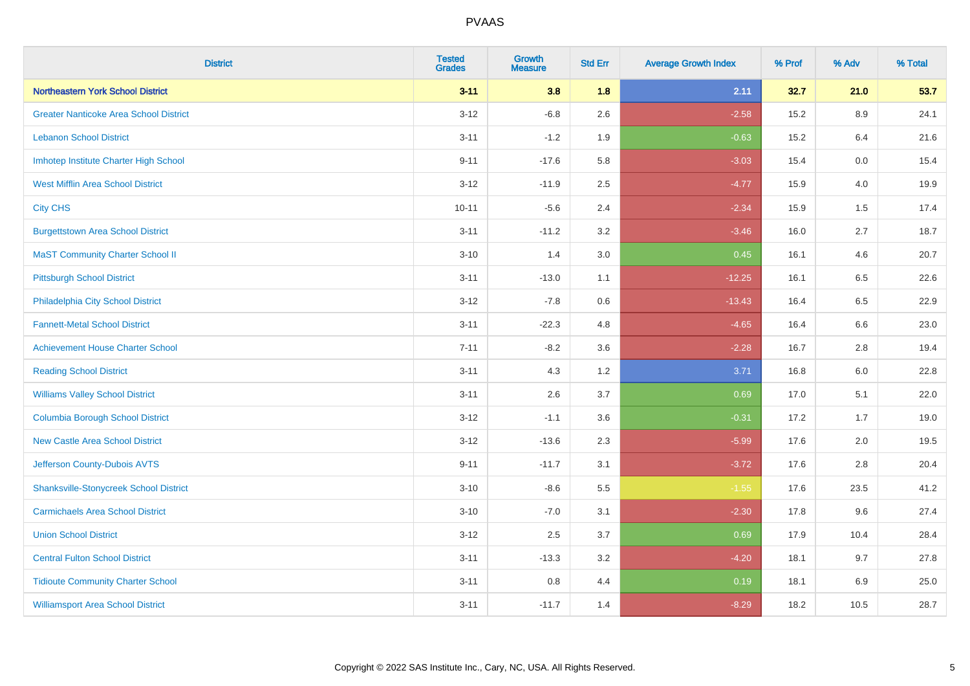| <b>District</b>                               | <b>Tested</b><br><b>Grades</b> | <b>Growth</b><br><b>Measure</b> | <b>Std Err</b> | <b>Average Growth Index</b> | % Prof | % Adv | % Total |
|-----------------------------------------------|--------------------------------|---------------------------------|----------------|-----------------------------|--------|-------|---------|
| Northeastern York School District             | $3 - 11$                       | 3.8                             | 1.8            | 2.11                        | 32.7   | 21.0  | 53.7    |
| <b>Greater Nanticoke Area School District</b> | $3 - 12$                       | $-6.8$                          | 2.6            | $-2.58$                     | 15.2   | 8.9   | 24.1    |
| <b>Lebanon School District</b>                | $3 - 11$                       | $-1.2$                          | 1.9            | $-0.63$                     | 15.2   | 6.4   | 21.6    |
| Imhotep Institute Charter High School         | $9 - 11$                       | $-17.6$                         | 5.8            | $-3.03$                     | 15.4   | 0.0   | 15.4    |
| <b>West Mifflin Area School District</b>      | $3 - 12$                       | $-11.9$                         | 2.5            | $-4.77$                     | 15.9   | 4.0   | 19.9    |
| <b>City CHS</b>                               | $10 - 11$                      | $-5.6$                          | 2.4            | $-2.34$                     | 15.9   | 1.5   | 17.4    |
| <b>Burgettstown Area School District</b>      | $3 - 11$                       | $-11.2$                         | 3.2            | $-3.46$                     | 16.0   | 2.7   | 18.7    |
| <b>MaST Community Charter School II</b>       | $3 - 10$                       | 1.4                             | 3.0            | 0.45                        | 16.1   | 4.6   | 20.7    |
| <b>Pittsburgh School District</b>             | $3 - 11$                       | $-13.0$                         | 1.1            | $-12.25$                    | 16.1   | 6.5   | 22.6    |
| Philadelphia City School District             | $3 - 12$                       | $-7.8$                          | 0.6            | $-13.43$                    | 16.4   | 6.5   | 22.9    |
| <b>Fannett-Metal School District</b>          | $3 - 11$                       | $-22.3$                         | 4.8            | $-4.65$                     | 16.4   | 6.6   | 23.0    |
| <b>Achievement House Charter School</b>       | $7 - 11$                       | $-8.2$                          | 3.6            | $-2.28$                     | 16.7   | 2.8   | 19.4    |
| <b>Reading School District</b>                | $3 - 11$                       | 4.3                             | 1.2            | 3.71                        | 16.8   | 6.0   | 22.8    |
| <b>Williams Valley School District</b>        | $3 - 11$                       | 2.6                             | 3.7            | 0.69                        | 17.0   | 5.1   | 22.0    |
| <b>Columbia Borough School District</b>       | $3 - 12$                       | $-1.1$                          | 3.6            | $-0.31$                     | 17.2   | 1.7   | 19.0    |
| <b>New Castle Area School District</b>        | $3-12$                         | $-13.6$                         | 2.3            | $-5.99$                     | 17.6   | 2.0   | 19.5    |
| Jefferson County-Dubois AVTS                  | $9 - 11$                       | $-11.7$                         | 3.1            | $-3.72$                     | 17.6   | 2.8   | 20.4    |
| <b>Shanksville-Stonycreek School District</b> | $3 - 10$                       | $-8.6$                          | 5.5            | $-1.55$                     | 17.6   | 23.5  | 41.2    |
| <b>Carmichaels Area School District</b>       | $3 - 10$                       | $-7.0$                          | 3.1            | $-2.30$                     | 17.8   | 9.6   | 27.4    |
| <b>Union School District</b>                  | $3-12$                         | 2.5                             | 3.7            | 0.69                        | 17.9   | 10.4  | 28.4    |
| <b>Central Fulton School District</b>         | $3 - 11$                       | $-13.3$                         | 3.2            | $-4.20$                     | 18.1   | 9.7   | 27.8    |
| <b>Tidioute Community Charter School</b>      | $3 - 11$                       | 0.8                             | 4.4            | 0.19                        | 18.1   | 6.9   | 25.0    |
| <b>Williamsport Area School District</b>      | $3 - 11$                       | $-11.7$                         | 1.4            | $-8.29$                     | 18.2   | 10.5  | 28.7    |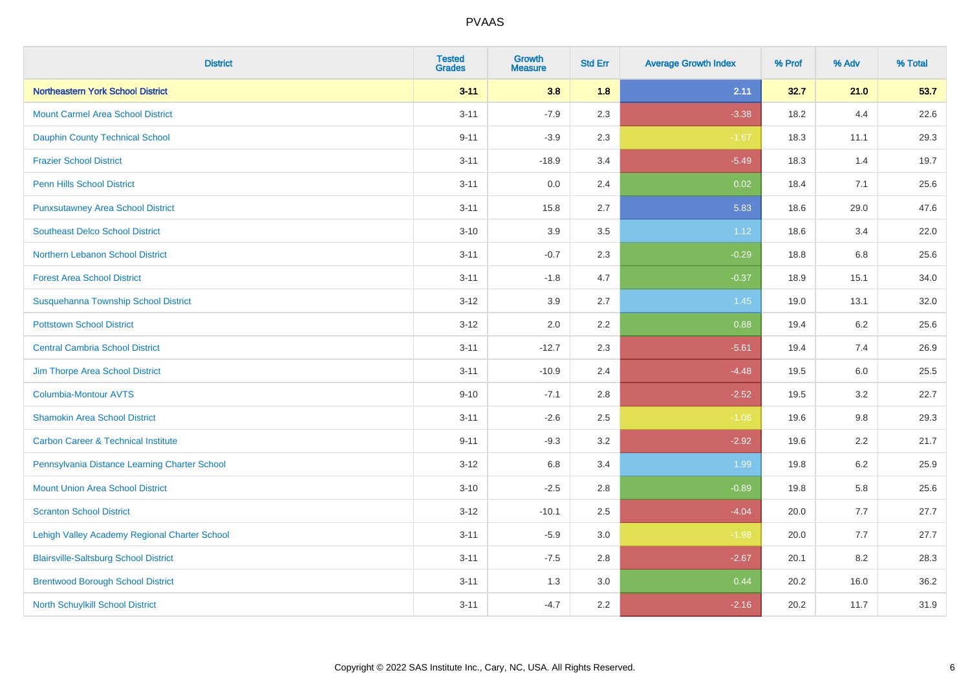| <b>District</b>                                | <b>Tested</b><br><b>Grades</b> | <b>Growth</b><br><b>Measure</b> | <b>Std Err</b> | <b>Average Growth Index</b> | % Prof | % Adv | % Total |
|------------------------------------------------|--------------------------------|---------------------------------|----------------|-----------------------------|--------|-------|---------|
| <b>Northeastern York School District</b>       | $3 - 11$                       | 3.8                             | 1.8            | 2.11                        | 32.7   | 21.0  | 53.7    |
| <b>Mount Carmel Area School District</b>       | $3 - 11$                       | $-7.9$                          | 2.3            | $-3.38$                     | 18.2   | 4.4   | 22.6    |
| <b>Dauphin County Technical School</b>         | $9 - 11$                       | $-3.9$                          | 2.3            | $-1.67$                     | 18.3   | 11.1  | 29.3    |
| <b>Frazier School District</b>                 | $3 - 11$                       | $-18.9$                         | 3.4            | $-5.49$                     | 18.3   | 1.4   | 19.7    |
| <b>Penn Hills School District</b>              | $3 - 11$                       | 0.0                             | 2.4            | 0.02                        | 18.4   | 7.1   | 25.6    |
| <b>Punxsutawney Area School District</b>       | $3 - 11$                       | 15.8                            | 2.7            | 5.83                        | 18.6   | 29.0  | 47.6    |
| <b>Southeast Delco School District</b>         | $3 - 10$                       | 3.9                             | 3.5            | 1.12                        | 18.6   | 3.4   | 22.0    |
| Northern Lebanon School District               | $3 - 11$                       | $-0.7$                          | 2.3            | $-0.29$                     | 18.8   | 6.8   | 25.6    |
| <b>Forest Area School District</b>             | $3 - 11$                       | $-1.8$                          | 4.7            | $-0.37$                     | 18.9   | 15.1  | 34.0    |
| Susquehanna Township School District           | $3 - 12$                       | 3.9                             | 2.7            | 1.45                        | 19.0   | 13.1  | 32.0    |
| <b>Pottstown School District</b>               | $3 - 12$                       | 2.0                             | 2.2            | 0.88                        | 19.4   | 6.2   | 25.6    |
| <b>Central Cambria School District</b>         | $3 - 11$                       | $-12.7$                         | 2.3            | $-5.61$                     | 19.4   | 7.4   | 26.9    |
| Jim Thorpe Area School District                | $3 - 11$                       | $-10.9$                         | 2.4            | $-4.48$                     | 19.5   | 6.0   | 25.5    |
| <b>Columbia-Montour AVTS</b>                   | $9 - 10$                       | $-7.1$                          | 2.8            | $-2.52$                     | 19.5   | 3.2   | 22.7    |
| <b>Shamokin Area School District</b>           | $3 - 11$                       | $-2.6$                          | 2.5            | $-1.06$                     | 19.6   | 9.8   | 29.3    |
| <b>Carbon Career &amp; Technical Institute</b> | $9 - 11$                       | $-9.3$                          | 3.2            | $-2.92$                     | 19.6   | 2.2   | 21.7    |
| Pennsylvania Distance Learning Charter School  | $3 - 12$                       | 6.8                             | 3.4            | 1.99                        | 19.8   | 6.2   | 25.9    |
| <b>Mount Union Area School District</b>        | $3 - 10$                       | $-2.5$                          | 2.8            | $-0.89$                     | 19.8   | 5.8   | 25.6    |
| <b>Scranton School District</b>                | $3 - 12$                       | $-10.1$                         | 2.5            | $-4.04$                     | 20.0   | 7.7   | 27.7    |
| Lehigh Valley Academy Regional Charter School  | $3 - 11$                       | $-5.9$                          | 3.0            | $-1.98$                     | 20.0   | 7.7   | 27.7    |
| <b>Blairsville-Saltsburg School District</b>   | $3 - 11$                       | $-7.5$                          | 2.8            | $-2.67$                     | 20.1   | 8.2   | 28.3    |
| <b>Brentwood Borough School District</b>       | $3 - 11$                       | 1.3                             | 3.0            | 0.44                        | 20.2   | 16.0  | 36.2    |
| North Schuylkill School District               | $3 - 11$                       | $-4.7$                          | 2.2            | $-2.16$                     | 20.2   | 11.7  | 31.9    |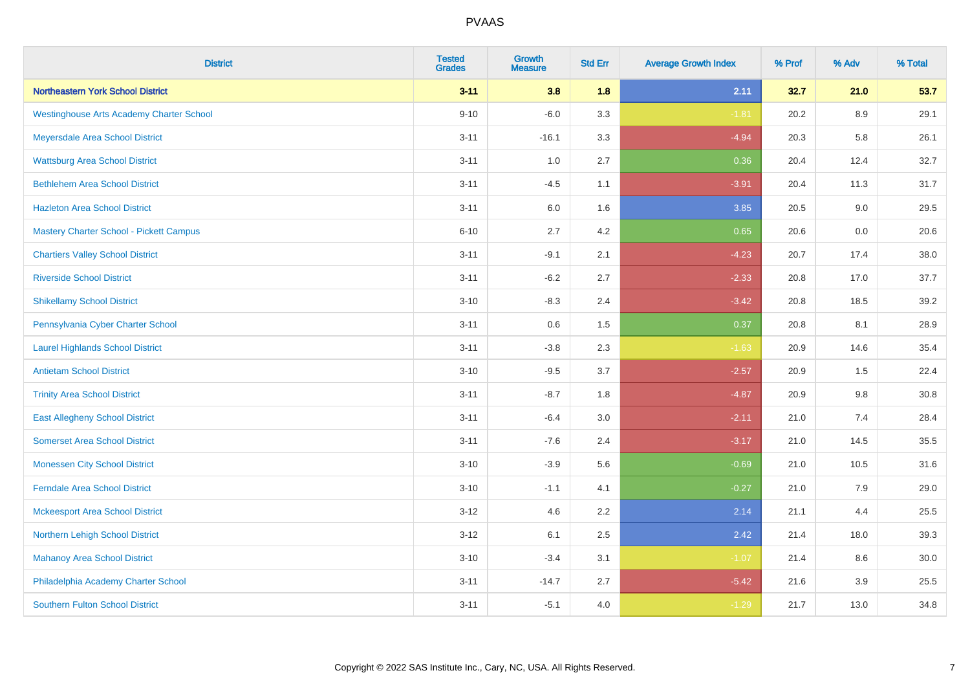| <b>District</b>                                 | <b>Tested</b><br><b>Grades</b> | <b>Growth</b><br><b>Measure</b> | <b>Std Err</b> | <b>Average Growth Index</b> | % Prof | % Adv   | % Total |
|-------------------------------------------------|--------------------------------|---------------------------------|----------------|-----------------------------|--------|---------|---------|
| Northeastern York School District               | $3 - 11$                       | 3.8                             | 1.8            | 2.11                        | 32.7   | 21.0    | 53.7    |
| <b>Westinghouse Arts Academy Charter School</b> | $9 - 10$                       | $-6.0$                          | 3.3            | $-1.81$                     | 20.2   | 8.9     | 29.1    |
| Meyersdale Area School District                 | $3 - 11$                       | $-16.1$                         | 3.3            | $-4.94$                     | 20.3   | 5.8     | 26.1    |
| <b>Wattsburg Area School District</b>           | $3 - 11$                       | 1.0                             | 2.7            | 0.36                        | 20.4   | 12.4    | 32.7    |
| <b>Bethlehem Area School District</b>           | $3 - 11$                       | $-4.5$                          | 1.1            | $-3.91$                     | 20.4   | 11.3    | 31.7    |
| <b>Hazleton Area School District</b>            | $3 - 11$                       | 6.0                             | 1.6            | 3.85                        | 20.5   | 9.0     | 29.5    |
| <b>Mastery Charter School - Pickett Campus</b>  | $6 - 10$                       | 2.7                             | 4.2            | 0.65                        | 20.6   | 0.0     | 20.6    |
| <b>Chartiers Valley School District</b>         | $3 - 11$                       | $-9.1$                          | 2.1            | $-4.23$                     | 20.7   | 17.4    | 38.0    |
| <b>Riverside School District</b>                | $3 - 11$                       | $-6.2$                          | 2.7            | $-2.33$                     | 20.8   | 17.0    | 37.7    |
| <b>Shikellamy School District</b>               | $3 - 10$                       | $-8.3$                          | 2.4            | $-3.42$                     | 20.8   | 18.5    | 39.2    |
| Pennsylvania Cyber Charter School               | $3 - 11$                       | 0.6                             | 1.5            | 0.37                        | 20.8   | 8.1     | 28.9    |
| <b>Laurel Highlands School District</b>         | $3 - 11$                       | $-3.8$                          | 2.3            | $-1.63$                     | 20.9   | 14.6    | 35.4    |
| <b>Antietam School District</b>                 | $3 - 10$                       | $-9.5$                          | 3.7            | $-2.57$                     | 20.9   | $1.5\,$ | 22.4    |
| <b>Trinity Area School District</b>             | $3 - 11$                       | $-8.7$                          | 1.8            | $-4.87$                     | 20.9   | 9.8     | 30.8    |
| <b>East Allegheny School District</b>           | $3 - 11$                       | $-6.4$                          | 3.0            | $-2.11$                     | 21.0   | 7.4     | 28.4    |
| <b>Somerset Area School District</b>            | $3 - 11$                       | $-7.6$                          | 2.4            | $-3.17$                     | 21.0   | 14.5    | 35.5    |
| <b>Monessen City School District</b>            | $3 - 10$                       | $-3.9$                          | 5.6            | $-0.69$                     | 21.0   | 10.5    | 31.6    |
| <b>Ferndale Area School District</b>            | $3 - 10$                       | $-1.1$                          | 4.1            | $-0.27$                     | 21.0   | 7.9     | 29.0    |
| <b>Mckeesport Area School District</b>          | $3-12$                         | 4.6                             | 2.2            | 2.14                        | 21.1   | 4.4     | 25.5    |
| Northern Lehigh School District                 | $3 - 12$                       | 6.1                             | 2.5            | 2.42                        | 21.4   | 18.0    | 39.3    |
| <b>Mahanoy Area School District</b>             | $3 - 10$                       | $-3.4$                          | 3.1            | $-1.07$                     | 21.4   | 8.6     | 30.0    |
| Philadelphia Academy Charter School             | $3 - 11$                       | $-14.7$                         | 2.7            | $-5.42$                     | 21.6   | 3.9     | 25.5    |
| <b>Southern Fulton School District</b>          | $3 - 11$                       | $-5.1$                          | 4.0            | $-1.29$                     | 21.7   | 13.0    | 34.8    |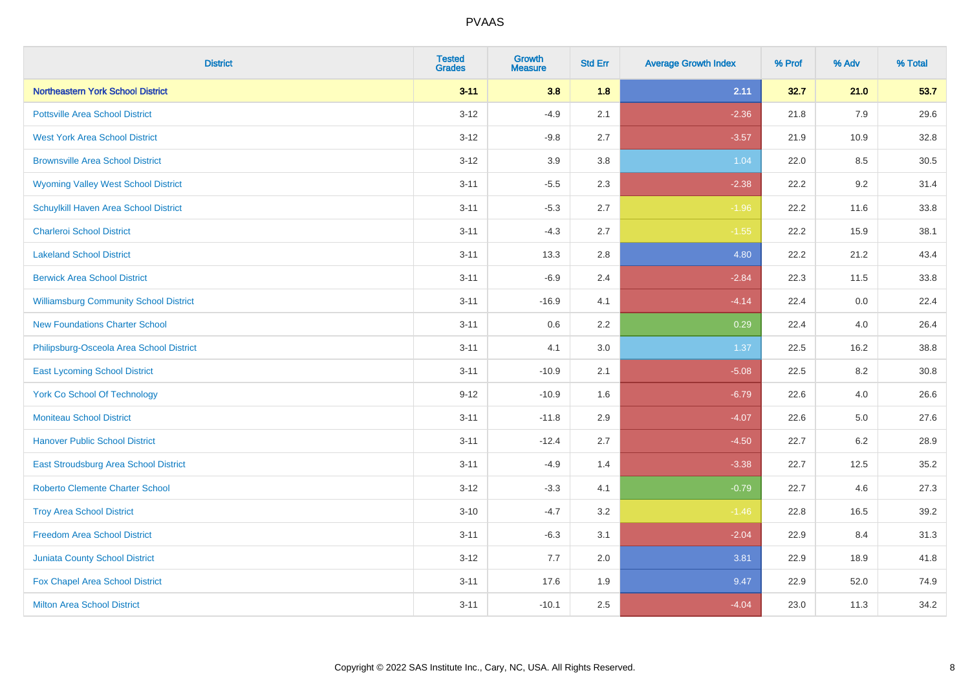| <b>District</b>                               | <b>Tested</b><br><b>Grades</b> | <b>Growth</b><br><b>Measure</b> | <b>Std Err</b> | <b>Average Growth Index</b> | % Prof | % Adv | % Total |
|-----------------------------------------------|--------------------------------|---------------------------------|----------------|-----------------------------|--------|-------|---------|
| <b>Northeastern York School District</b>      | $3 - 11$                       | 3.8                             | 1.8            | 2.11                        | 32.7   | 21.0  | 53.7    |
| <b>Pottsville Area School District</b>        | $3 - 12$                       | $-4.9$                          | 2.1            | $-2.36$                     | 21.8   | 7.9   | 29.6    |
| <b>West York Area School District</b>         | $3 - 12$                       | $-9.8$                          | 2.7            | $-3.57$                     | 21.9   | 10.9  | 32.8    |
| <b>Brownsville Area School District</b>       | $3 - 12$                       | 3.9                             | 3.8            | 1.04                        | 22.0   | 8.5   | 30.5    |
| <b>Wyoming Valley West School District</b>    | $3 - 11$                       | $-5.5$                          | 2.3            | $-2.38$                     | 22.2   | 9.2   | 31.4    |
| Schuylkill Haven Area School District         | $3 - 11$                       | $-5.3$                          | 2.7            | $-1.96$                     | 22.2   | 11.6  | 33.8    |
| <b>Charleroi School District</b>              | $3 - 11$                       | $-4.3$                          | 2.7            | $-1.55$                     | 22.2   | 15.9  | 38.1    |
| <b>Lakeland School District</b>               | $3 - 11$                       | 13.3                            | 2.8            | 4.80                        | 22.2   | 21.2  | 43.4    |
| <b>Berwick Area School District</b>           | $3 - 11$                       | $-6.9$                          | 2.4            | $-2.84$                     | 22.3   | 11.5  | 33.8    |
| <b>Williamsburg Community School District</b> | $3 - 11$                       | $-16.9$                         | 4.1            | $-4.14$                     | 22.4   | 0.0   | 22.4    |
| <b>New Foundations Charter School</b>         | $3 - 11$                       | 0.6                             | 2.2            | 0.29                        | 22.4   | 4.0   | 26.4    |
| Philipsburg-Osceola Area School District      | $3 - 11$                       | 4.1                             | 3.0            | 1.37                        | 22.5   | 16.2  | 38.8    |
| <b>East Lycoming School District</b>          | $3 - 11$                       | $-10.9$                         | 2.1            | $-5.08$                     | 22.5   | 8.2   | 30.8    |
| <b>York Co School Of Technology</b>           | $9 - 12$                       | $-10.9$                         | 1.6            | $-6.79$                     | 22.6   | 4.0   | 26.6    |
| <b>Moniteau School District</b>               | $3 - 11$                       | $-11.8$                         | 2.9            | $-4.07$                     | 22.6   | 5.0   | 27.6    |
| <b>Hanover Public School District</b>         | $3 - 11$                       | $-12.4$                         | 2.7            | $-4.50$                     | 22.7   | 6.2   | 28.9    |
| <b>East Stroudsburg Area School District</b>  | $3 - 11$                       | $-4.9$                          | 1.4            | $-3.38$                     | 22.7   | 12.5  | 35.2    |
| <b>Roberto Clemente Charter School</b>        | $3 - 12$                       | $-3.3$                          | 4.1            | $-0.79$                     | 22.7   | 4.6   | 27.3    |
| <b>Troy Area School District</b>              | $3 - 10$                       | $-4.7$                          | 3.2            | $-1.46$                     | 22.8   | 16.5  | 39.2    |
| <b>Freedom Area School District</b>           | $3 - 11$                       | $-6.3$                          | 3.1            | $-2.04$                     | 22.9   | 8.4   | 31.3    |
| Juniata County School District                | $3 - 12$                       | 7.7                             | 2.0            | 3.81                        | 22.9   | 18.9  | 41.8    |
| Fox Chapel Area School District               | $3 - 11$                       | 17.6                            | 1.9            | 9.47                        | 22.9   | 52.0  | 74.9    |
| <b>Milton Area School District</b>            | $3 - 11$                       | $-10.1$                         | 2.5            | $-4.04$                     | 23.0   | 11.3  | 34.2    |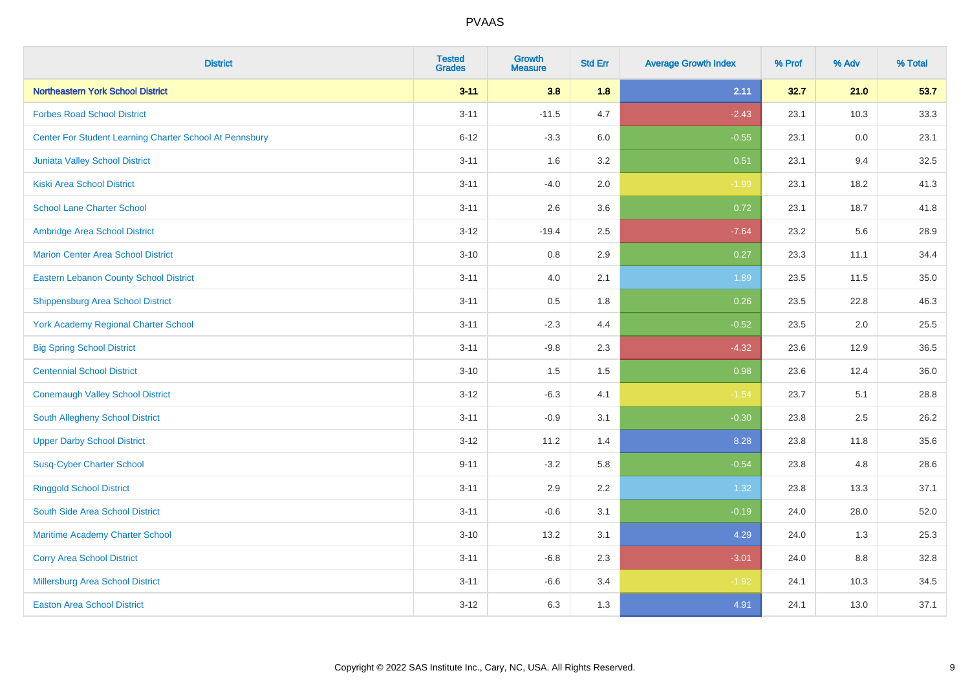| <b>District</b>                                         | <b>Tested</b><br><b>Grades</b> | <b>Growth</b><br><b>Measure</b> | <b>Std Err</b> | <b>Average Growth Index</b> | % Prof | % Adv | % Total |
|---------------------------------------------------------|--------------------------------|---------------------------------|----------------|-----------------------------|--------|-------|---------|
| <b>Northeastern York School District</b>                | $3 - 11$                       | 3.8                             | 1.8            | 2.11                        | 32.7   | 21.0  | 53.7    |
| <b>Forbes Road School District</b>                      | $3 - 11$                       | $-11.5$                         | 4.7            | $-2.43$                     | 23.1   | 10.3  | 33.3    |
| Center For Student Learning Charter School At Pennsbury | $6 - 12$                       | $-3.3$                          | 6.0            | $-0.55$                     | 23.1   | 0.0   | 23.1    |
| Juniata Valley School District                          | $3 - 11$                       | 1.6                             | 3.2            | 0.51                        | 23.1   | 9.4   | 32.5    |
| <b>Kiski Area School District</b>                       | $3 - 11$                       | $-4.0$                          | 2.0            | $-1.99$                     | 23.1   | 18.2  | 41.3    |
| <b>School Lane Charter School</b>                       | $3 - 11$                       | 2.6                             | 3.6            | 0.72                        | 23.1   | 18.7  | 41.8    |
| Ambridge Area School District                           | $3 - 12$                       | $-19.4$                         | 2.5            | $-7.64$                     | 23.2   | 5.6   | 28.9    |
| <b>Marion Center Area School District</b>               | $3 - 10$                       | 0.8                             | 2.9            | 0.27                        | 23.3   | 11.1  | 34.4    |
| <b>Eastern Lebanon County School District</b>           | $3 - 11$                       | 4.0                             | 2.1            | 1.89                        | 23.5   | 11.5  | 35.0    |
| <b>Shippensburg Area School District</b>                | $3 - 11$                       | 0.5                             | 1.8            | 0.26                        | 23.5   | 22.8  | 46.3    |
| <b>York Academy Regional Charter School</b>             | $3 - 11$                       | $-2.3$                          | 4.4            | $-0.52$                     | 23.5   | 2.0   | 25.5    |
| <b>Big Spring School District</b>                       | $3 - 11$                       | $-9.8$                          | 2.3            | $-4.32$                     | 23.6   | 12.9  | 36.5    |
| <b>Centennial School District</b>                       | $3 - 10$                       | 1.5                             | 1.5            | 0.98                        | 23.6   | 12.4  | 36.0    |
| <b>Conemaugh Valley School District</b>                 | $3 - 12$                       | $-6.3$                          | 4.1            | $-1.54$                     | 23.7   | 5.1   | 28.8    |
| South Allegheny School District                         | $3 - 11$                       | $-0.9$                          | 3.1            | $-0.30$                     | 23.8   | 2.5   | 26.2    |
| <b>Upper Darby School District</b>                      | $3 - 12$                       | 11.2                            | 1.4            | 8.28                        | 23.8   | 11.8  | 35.6    |
| <b>Susq-Cyber Charter School</b>                        | $9 - 11$                       | $-3.2$                          | 5.8            | $-0.54$                     | 23.8   | 4.8   | 28.6    |
| <b>Ringgold School District</b>                         | $3 - 11$                       | 2.9                             | 2.2            | 1.32                        | 23.8   | 13.3  | 37.1    |
| South Side Area School District                         | $3 - 11$                       | $-0.6$                          | 3.1            | $-0.19$                     | 24.0   | 28.0  | 52.0    |
| Maritime Academy Charter School                         | $3 - 10$                       | 13.2                            | 3.1            | 4.29                        | 24.0   | 1.3   | 25.3    |
| <b>Corry Area School District</b>                       | $3 - 11$                       | $-6.8$                          | 2.3            | $-3.01$                     | 24.0   | 8.8   | 32.8    |
| Millersburg Area School District                        | $3 - 11$                       | $-6.6$                          | 3.4            | $-1.92$                     | 24.1   | 10.3  | 34.5    |
| <b>Easton Area School District</b>                      | $3 - 12$                       | 6.3                             | 1.3            | 4.91                        | 24.1   | 13.0  | 37.1    |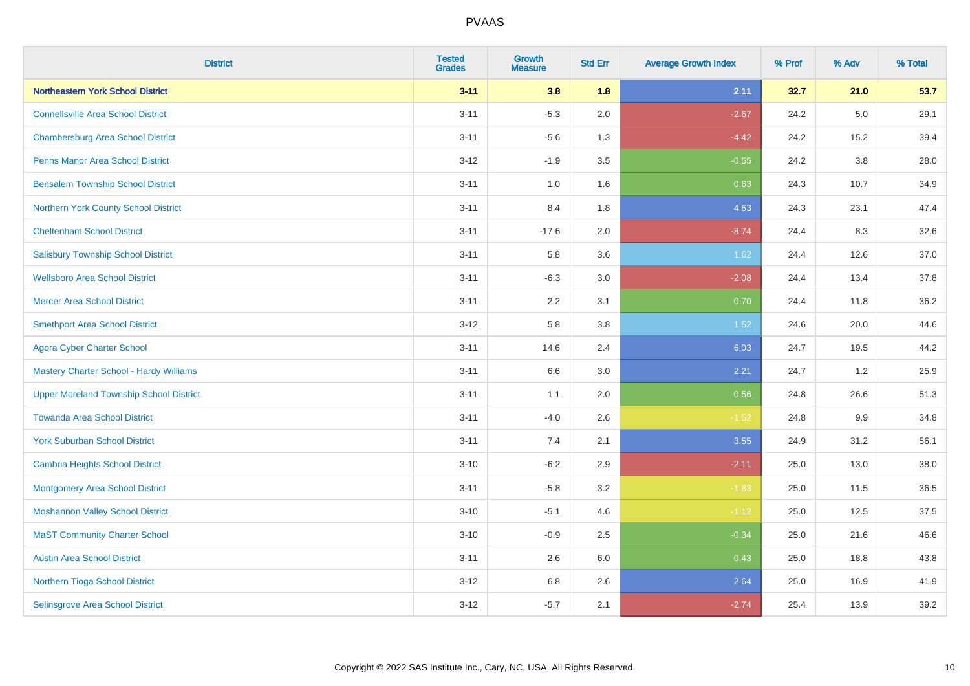| <b>District</b>                                | <b>Tested</b><br><b>Grades</b> | <b>Growth</b><br><b>Measure</b> | <b>Std Err</b> | <b>Average Growth Index</b> | % Prof | % Adv   | % Total |
|------------------------------------------------|--------------------------------|---------------------------------|----------------|-----------------------------|--------|---------|---------|
| <b>Northeastern York School District</b>       | $3 - 11$                       | 3.8                             | 1.8            | 2.11                        | 32.7   | 21.0    | 53.7    |
| <b>Connellsville Area School District</b>      | $3 - 11$                       | $-5.3$                          | 2.0            | $-2.67$                     | 24.2   | 5.0     | 29.1    |
| <b>Chambersburg Area School District</b>       | $3 - 11$                       | $-5.6$                          | 1.3            | $-4.42$                     | 24.2   | 15.2    | 39.4    |
| <b>Penns Manor Area School District</b>        | $3 - 12$                       | $-1.9$                          | 3.5            | $-0.55$                     | 24.2   | 3.8     | 28.0    |
| <b>Bensalem Township School District</b>       | $3 - 11$                       | 1.0                             | 1.6            | 0.63                        | 24.3   | 10.7    | 34.9    |
| Northern York County School District           | $3 - 11$                       | 8.4                             | 1.8            | 4.63                        | 24.3   | 23.1    | 47.4    |
| <b>Cheltenham School District</b>              | $3 - 11$                       | $-17.6$                         | 2.0            | $-8.74$                     | 24.4   | 8.3     | 32.6    |
| <b>Salisbury Township School District</b>      | $3 - 11$                       | 5.8                             | 3.6            | 1.62                        | 24.4   | 12.6    | 37.0    |
| <b>Wellsboro Area School District</b>          | $3 - 11$                       | $-6.3$                          | 3.0            | $-2.08$                     | 24.4   | 13.4    | 37.8    |
| <b>Mercer Area School District</b>             | $3 - 11$                       | 2.2                             | 3.1            | 0.70                        | 24.4   | 11.8    | 36.2    |
| <b>Smethport Area School District</b>          | $3 - 12$                       | 5.8                             | 3.8            | 1.52                        | 24.6   | 20.0    | 44.6    |
| <b>Agora Cyber Charter School</b>              | $3 - 11$                       | 14.6                            | 2.4            | 6.03                        | 24.7   | 19.5    | 44.2    |
| <b>Mastery Charter School - Hardy Williams</b> | $3 - 11$                       | 6.6                             | 3.0            | 2.21                        | 24.7   | $1.2\,$ | 25.9    |
| <b>Upper Moreland Township School District</b> | $3 - 11$                       | 1.1                             | 2.0            | 0.56                        | 24.8   | 26.6    | 51.3    |
| <b>Towanda Area School District</b>            | $3 - 11$                       | $-4.0$                          | 2.6            | $-1.52$                     | 24.8   | 9.9     | 34.8    |
| <b>York Suburban School District</b>           | $3 - 11$                       | 7.4                             | 2.1            | 3.55                        | 24.9   | 31.2    | 56.1    |
| <b>Cambria Heights School District</b>         | $3 - 10$                       | $-6.2$                          | 2.9            | $-2.11$                     | 25.0   | 13.0    | 38.0    |
| <b>Montgomery Area School District</b>         | $3 - 11$                       | $-5.8$                          | 3.2            | $-1.83$                     | 25.0   | 11.5    | 36.5    |
| <b>Moshannon Valley School District</b>        | $3 - 10$                       | $-5.1$                          | 4.6            | $-1.12$                     | 25.0   | 12.5    | 37.5    |
| <b>MaST Community Charter School</b>           | $3 - 10$                       | $-0.9$                          | 2.5            | $-0.34$                     | 25.0   | 21.6    | 46.6    |
| <b>Austin Area School District</b>             | $3 - 11$                       | 2.6                             | 6.0            | 0.43                        | 25.0   | 18.8    | 43.8    |
| Northern Tioga School District                 | $3 - 12$                       | 6.8                             | 2.6            | 2.64                        | 25.0   | 16.9    | 41.9    |
| <b>Selinsgrove Area School District</b>        | $3 - 12$                       | $-5.7$                          | 2.1            | $-2.74$                     | 25.4   | 13.9    | 39.2    |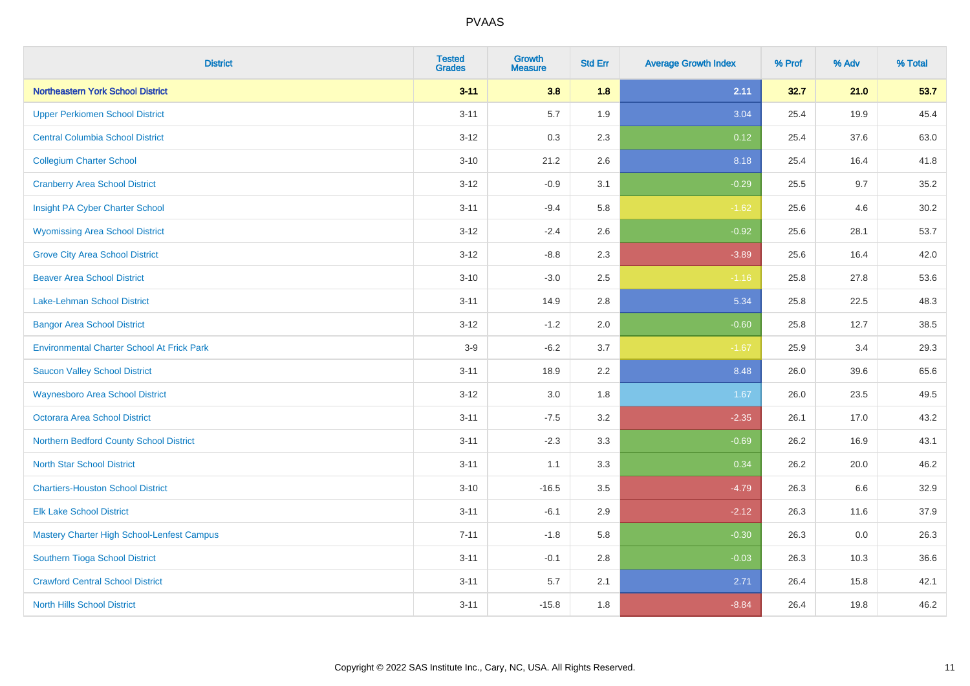| <b>District</b>                                   | <b>Tested</b><br><b>Grades</b> | <b>Growth</b><br><b>Measure</b> | <b>Std Err</b> | <b>Average Growth Index</b> | % Prof | % Adv | % Total |
|---------------------------------------------------|--------------------------------|---------------------------------|----------------|-----------------------------|--------|-------|---------|
| Northeastern York School District                 | $3 - 11$                       | 3.8                             | 1.8            | 2.11                        | 32.7   | 21.0  | 53.7    |
| <b>Upper Perkiomen School District</b>            | $3 - 11$                       | 5.7                             | 1.9            | 3.04                        | 25.4   | 19.9  | 45.4    |
| <b>Central Columbia School District</b>           | $3 - 12$                       | 0.3                             | 2.3            | 0.12                        | 25.4   | 37.6  | 63.0    |
| <b>Collegium Charter School</b>                   | $3 - 10$                       | 21.2                            | 2.6            | 8.18                        | 25.4   | 16.4  | 41.8    |
| <b>Cranberry Area School District</b>             | $3 - 12$                       | $-0.9$                          | 3.1            | $-0.29$                     | 25.5   | 9.7   | 35.2    |
| Insight PA Cyber Charter School                   | $3 - 11$                       | $-9.4$                          | 5.8            | $-1.62$                     | 25.6   | 4.6   | 30.2    |
| <b>Wyomissing Area School District</b>            | $3 - 12$                       | $-2.4$                          | 2.6            | $-0.92$                     | 25.6   | 28.1  | 53.7    |
| <b>Grove City Area School District</b>            | $3 - 12$                       | $-8.8$                          | 2.3            | $-3.89$                     | 25.6   | 16.4  | 42.0    |
| <b>Beaver Area School District</b>                | $3 - 10$                       | $-3.0$                          | 2.5            | $-1.16$                     | 25.8   | 27.8  | 53.6    |
| Lake-Lehman School District                       | $3 - 11$                       | 14.9                            | 2.8            | 5.34                        | 25.8   | 22.5  | 48.3    |
| <b>Bangor Area School District</b>                | $3 - 12$                       | $-1.2$                          | 2.0            | $-0.60$                     | 25.8   | 12.7  | 38.5    |
| <b>Environmental Charter School At Frick Park</b> | $3-9$                          | $-6.2$                          | 3.7            | $-1.67$                     | 25.9   | 3.4   | 29.3    |
| <b>Saucon Valley School District</b>              | $3 - 11$                       | 18.9                            | 2.2            | 8.48                        | 26.0   | 39.6  | 65.6    |
| <b>Waynesboro Area School District</b>            | $3 - 12$                       | $3.0\,$                         | 1.8            | 1.67                        | 26.0   | 23.5  | 49.5    |
| <b>Octorara Area School District</b>              | $3 - 11$                       | $-7.5$                          | 3.2            | $-2.35$                     | 26.1   | 17.0  | 43.2    |
| Northern Bedford County School District           | $3 - 11$                       | $-2.3$                          | 3.3            | $-0.69$                     | 26.2   | 16.9  | 43.1    |
| <b>North Star School District</b>                 | $3 - 11$                       | 1.1                             | 3.3            | 0.34                        | 26.2   | 20.0  | 46.2    |
| <b>Chartiers-Houston School District</b>          | $3 - 10$                       | $-16.5$                         | 3.5            | $-4.79$                     | 26.3   | 6.6   | 32.9    |
| <b>Elk Lake School District</b>                   | $3 - 11$                       | $-6.1$                          | 2.9            | $-2.12$                     | 26.3   | 11.6  | 37.9    |
| Mastery Charter High School-Lenfest Campus        | $7 - 11$                       | $-1.8$                          | 5.8            | $-0.30$                     | 26.3   | 0.0   | 26.3    |
| Southern Tioga School District                    | $3 - 11$                       | $-0.1$                          | 2.8            | $-0.03$                     | 26.3   | 10.3  | 36.6    |
| <b>Crawford Central School District</b>           | $3 - 11$                       | 5.7                             | 2.1            | 2.71                        | 26.4   | 15.8  | 42.1    |
| <b>North Hills School District</b>                | $3 - 11$                       | $-15.8$                         | 1.8            | $-8.84$                     | 26.4   | 19.8  | 46.2    |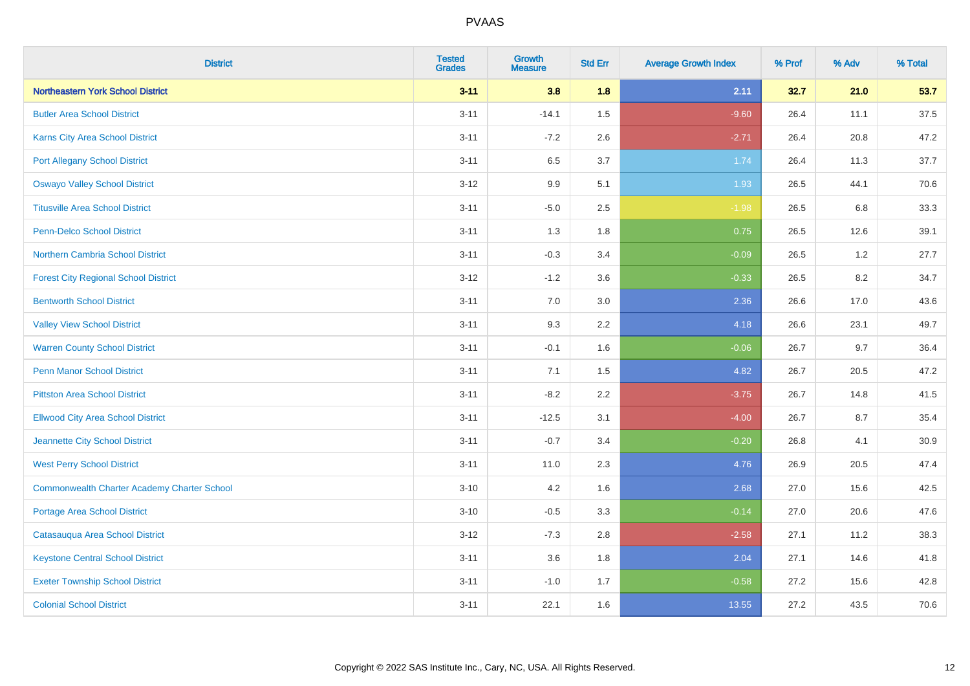| <b>District</b>                                    | <b>Tested</b><br><b>Grades</b> | <b>Growth</b><br><b>Measure</b> | <b>Std Err</b> | <b>Average Growth Index</b> | % Prof | % Adv | % Total  |
|----------------------------------------------------|--------------------------------|---------------------------------|----------------|-----------------------------|--------|-------|----------|
| Northeastern York School District                  | $3 - 11$                       | 3.8                             | 1.8            | 2.11                        | 32.7   | 21.0  | 53.7     |
| <b>Butler Area School District</b>                 | $3 - 11$                       | $-14.1$                         | 1.5            | $-9.60$                     | 26.4   | 11.1  | 37.5     |
| Karns City Area School District                    | $3 - 11$                       | $-7.2$                          | 2.6            | $-2.71$                     | 26.4   | 20.8  | 47.2     |
| <b>Port Allegany School District</b>               | $3 - 11$                       | 6.5                             | 3.7            | 1.74                        | 26.4   | 11.3  | 37.7     |
| <b>Oswayo Valley School District</b>               | $3 - 12$                       | 9.9                             | 5.1            | 1.93                        | 26.5   | 44.1  | 70.6     |
| <b>Titusville Area School District</b>             | $3 - 11$                       | $-5.0$                          | 2.5            | $-1.98$                     | 26.5   | 6.8   | 33.3     |
| Penn-Delco School District                         | $3 - 11$                       | 1.3                             | 1.8            | 0.75                        | 26.5   | 12.6  | 39.1     |
| Northern Cambria School District                   | $3 - 11$                       | $-0.3$                          | 3.4            | $-0.09$                     | 26.5   | 1.2   | 27.7     |
| <b>Forest City Regional School District</b>        | $3 - 12$                       | $-1.2$                          | 3.6            | $-0.33$                     | 26.5   | 8.2   | 34.7     |
| <b>Bentworth School District</b>                   | $3 - 11$                       | 7.0                             | 3.0            | 2.36                        | 26.6   | 17.0  | 43.6     |
| <b>Valley View School District</b>                 | $3 - 11$                       | 9.3                             | 2.2            | 4.18                        | 26.6   | 23.1  | 49.7     |
| <b>Warren County School District</b>               | $3 - 11$                       | $-0.1$                          | 1.6            | $-0.06$                     | 26.7   | 9.7   | 36.4     |
| <b>Penn Manor School District</b>                  | $3 - 11$                       | 7.1                             | 1.5            | 4.82                        | 26.7   | 20.5  | 47.2     |
| <b>Pittston Area School District</b>               | $3 - 11$                       | $-8.2$                          | 2.2            | $-3.75$                     | 26.7   | 14.8  | 41.5     |
| <b>Ellwood City Area School District</b>           | $3 - 11$                       | $-12.5$                         | 3.1            | $-4.00$                     | 26.7   | 8.7   | 35.4     |
| Jeannette City School District                     | $3 - 11$                       | $-0.7$                          | 3.4            | $-0.20$                     | 26.8   | 4.1   | $30.9\,$ |
| <b>West Perry School District</b>                  | $3 - 11$                       | 11.0                            | 2.3            | 4.76                        | 26.9   | 20.5  | 47.4     |
| <b>Commonwealth Charter Academy Charter School</b> | $3 - 10$                       | 4.2                             | 1.6            | 2.68                        | 27.0   | 15.6  | 42.5     |
| <b>Portage Area School District</b>                | $3 - 10$                       | $-0.5$                          | 3.3            | $-0.14$                     | 27.0   | 20.6  | 47.6     |
| Catasauqua Area School District                    | $3-12$                         | $-7.3$                          | 2.8            | $-2.58$                     | 27.1   | 11.2  | 38.3     |
| <b>Keystone Central School District</b>            | $3 - 11$                       | 3.6                             | 1.8            | 2.04                        | 27.1   | 14.6  | 41.8     |
| <b>Exeter Township School District</b>             | $3 - 11$                       | $-1.0$                          | 1.7            | $-0.58$                     | 27.2   | 15.6  | 42.8     |
| <b>Colonial School District</b>                    | $3 - 11$                       | 22.1                            | 1.6            | 13.55                       | 27.2   | 43.5  | 70.6     |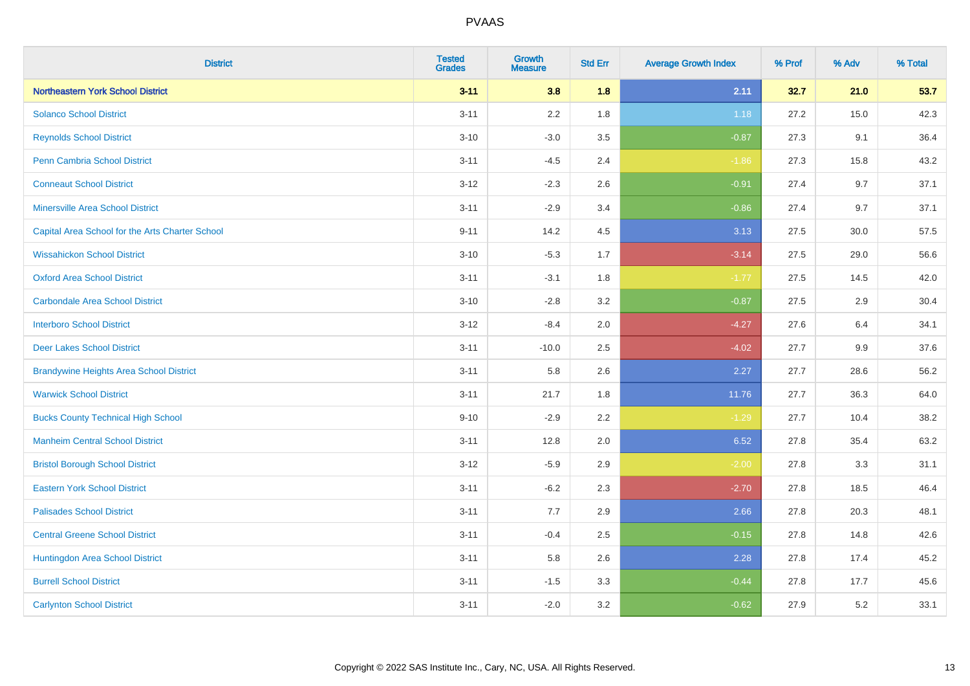| <b>District</b>                                 | <b>Tested</b><br><b>Grades</b> | Growth<br><b>Measure</b> | <b>Std Err</b> | <b>Average Growth Index</b> | % Prof | % Adv | % Total |
|-------------------------------------------------|--------------------------------|--------------------------|----------------|-----------------------------|--------|-------|---------|
| <b>Northeastern York School District</b>        | $3 - 11$                       | 3.8                      | 1.8            | 2.11                        | 32.7   | 21.0  | 53.7    |
| <b>Solanco School District</b>                  | $3 - 11$                       | 2.2                      | 1.8            | 1.18                        | 27.2   | 15.0  | 42.3    |
| <b>Reynolds School District</b>                 | $3 - 10$                       | $-3.0$                   | 3.5            | $-0.87$                     | 27.3   | 9.1   | 36.4    |
| <b>Penn Cambria School District</b>             | $3 - 11$                       | $-4.5$                   | 2.4            | $-1.86$                     | 27.3   | 15.8  | 43.2    |
| <b>Conneaut School District</b>                 | $3 - 12$                       | $-2.3$                   | 2.6            | $-0.91$                     | 27.4   | 9.7   | 37.1    |
| <b>Minersville Area School District</b>         | $3 - 11$                       | $-2.9$                   | 3.4            | $-0.86$                     | 27.4   | 9.7   | 37.1    |
| Capital Area School for the Arts Charter School | $9 - 11$                       | 14.2                     | 4.5            | 3.13                        | 27.5   | 30.0  | 57.5    |
| <b>Wissahickon School District</b>              | $3 - 10$                       | $-5.3$                   | 1.7            | $-3.14$                     | 27.5   | 29.0  | 56.6    |
| <b>Oxford Area School District</b>              | $3 - 11$                       | $-3.1$                   | 1.8            | $-1.77$                     | 27.5   | 14.5  | 42.0    |
| <b>Carbondale Area School District</b>          | $3 - 10$                       | $-2.8$                   | 3.2            | $-0.87$                     | 27.5   | 2.9   | 30.4    |
| <b>Interboro School District</b>                | $3 - 12$                       | $-8.4$                   | 2.0            | $-4.27$                     | 27.6   | 6.4   | 34.1    |
| <b>Deer Lakes School District</b>               | $3 - 11$                       | $-10.0$                  | 2.5            | $-4.02$                     | 27.7   | 9.9   | 37.6    |
| <b>Brandywine Heights Area School District</b>  | $3 - 11$                       | 5.8                      | 2.6            | 2.27                        | 27.7   | 28.6  | 56.2    |
| <b>Warwick School District</b>                  | $3 - 11$                       | 21.7                     | 1.8            | 11.76                       | 27.7   | 36.3  | 64.0    |
| <b>Bucks County Technical High School</b>       | $9 - 10$                       | $-2.9$                   | 2.2            | $-1.29$                     | 27.7   | 10.4  | 38.2    |
| <b>Manheim Central School District</b>          | $3 - 11$                       | 12.8                     | 2.0            | 6.52                        | 27.8   | 35.4  | 63.2    |
| <b>Bristol Borough School District</b>          | $3 - 12$                       | $-5.9$                   | 2.9            | $-2.00$                     | 27.8   | 3.3   | 31.1    |
| <b>Eastern York School District</b>             | $3 - 11$                       | $-6.2$                   | 2.3            | $-2.70$                     | 27.8   | 18.5  | 46.4    |
| <b>Palisades School District</b>                | $3 - 11$                       | 7.7                      | 2.9            | 2.66                        | 27.8   | 20.3  | 48.1    |
| <b>Central Greene School District</b>           | $3 - 11$                       | $-0.4$                   | 2.5            | $-0.15$                     | 27.8   | 14.8  | 42.6    |
| Huntingdon Area School District                 | $3 - 11$                       | 5.8                      | 2.6            | 2.28                        | 27.8   | 17.4  | 45.2    |
| <b>Burrell School District</b>                  | $3 - 11$                       | $-1.5$                   | 3.3            | $-0.44$                     | 27.8   | 17.7  | 45.6    |
| <b>Carlynton School District</b>                | $3 - 11$                       | $-2.0$                   | 3.2            | $-0.62$                     | 27.9   | 5.2   | 33.1    |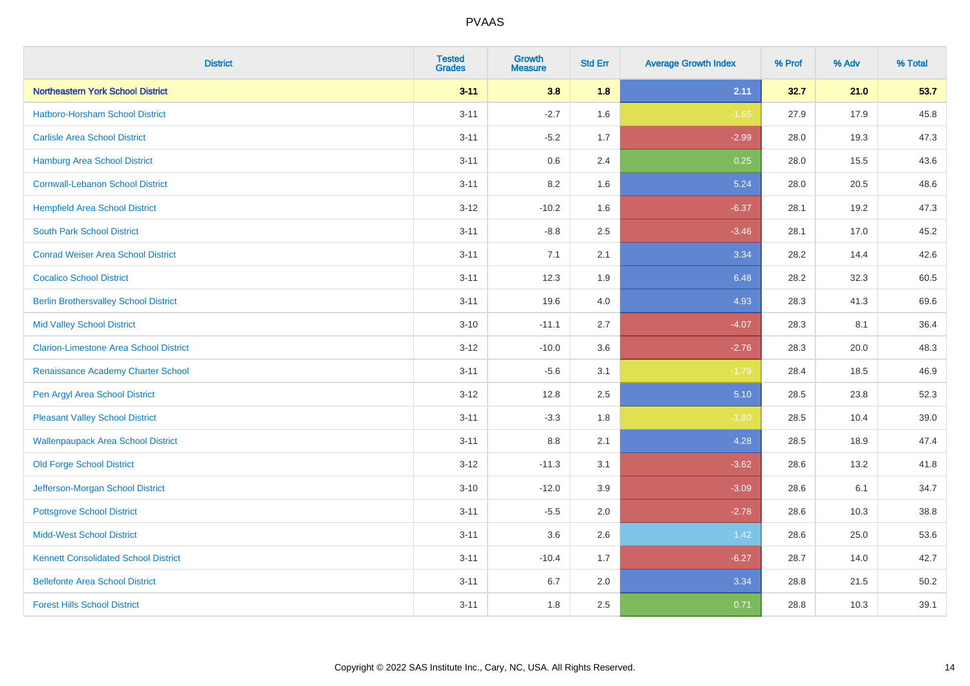| <b>District</b>                               | <b>Tested</b><br><b>Grades</b> | <b>Growth</b><br><b>Measure</b> | <b>Std Err</b> | <b>Average Growth Index</b> | % Prof | % Adv | % Total |
|-----------------------------------------------|--------------------------------|---------------------------------|----------------|-----------------------------|--------|-------|---------|
| Northeastern York School District             | $3 - 11$                       | 3.8                             | 1.8            | 2.11                        | 32.7   | 21.0  | 53.7    |
| Hatboro-Horsham School District               | $3 - 11$                       | $-2.7$                          | 1.6            | $-1.65$                     | 27.9   | 17.9  | 45.8    |
| <b>Carlisle Area School District</b>          | $3 - 11$                       | $-5.2$                          | 1.7            | $-2.99$                     | 28.0   | 19.3  | 47.3    |
| Hamburg Area School District                  | $3 - 11$                       | $0.6\,$                         | 2.4            | 0.25                        | 28.0   | 15.5  | 43.6    |
| <b>Cornwall-Lebanon School District</b>       | $3 - 11$                       | 8.2                             | 1.6            | 5.24                        | 28.0   | 20.5  | 48.6    |
| <b>Hempfield Area School District</b>         | $3-12$                         | $-10.2$                         | 1.6            | $-6.37$                     | 28.1   | 19.2  | 47.3    |
| <b>South Park School District</b>             | $3 - 11$                       | $-8.8$                          | 2.5            | $-3.46$                     | 28.1   | 17.0  | 45.2    |
| <b>Conrad Weiser Area School District</b>     | $3 - 11$                       | 7.1                             | 2.1            | 3.34                        | 28.2   | 14.4  | 42.6    |
| <b>Cocalico School District</b>               | $3 - 11$                       | 12.3                            | 1.9            | 6.48                        | 28.2   | 32.3  | 60.5    |
| <b>Berlin Brothersvalley School District</b>  | $3 - 11$                       | 19.6                            | 4.0            | 4.93                        | 28.3   | 41.3  | 69.6    |
| <b>Mid Valley School District</b>             | $3 - 10$                       | $-11.1$                         | 2.7            | $-4.07$                     | 28.3   | 8.1   | 36.4    |
| <b>Clarion-Limestone Area School District</b> | $3 - 12$                       | $-10.0$                         | 3.6            | $-2.76$                     | 28.3   | 20.0  | 48.3    |
| Renaissance Academy Charter School            | $3 - 11$                       | $-5.6$                          | 3.1            | $-1.79$                     | 28.4   | 18.5  | 46.9    |
| Pen Argyl Area School District                | $3 - 12$                       | 12.8                            | 2.5            | 5.10                        | 28.5   | 23.8  | 52.3    |
| <b>Pleasant Valley School District</b>        | $3 - 11$                       | $-3.3$                          | 1.8            | $-1.80$                     | 28.5   | 10.4  | 39.0    |
| <b>Wallenpaupack Area School District</b>     | $3 - 11$                       | 8.8                             | 2.1            | 4.28                        | 28.5   | 18.9  | 47.4    |
| <b>Old Forge School District</b>              | $3 - 12$                       | $-11.3$                         | 3.1            | $-3.62$                     | 28.6   | 13.2  | 41.8    |
| Jefferson-Morgan School District              | $3 - 10$                       | $-12.0$                         | 3.9            | $-3.09$                     | 28.6   | 6.1   | 34.7    |
| <b>Pottsgrove School District</b>             | $3 - 11$                       | $-5.5$                          | 2.0            | $-2.78$                     | 28.6   | 10.3  | 38.8    |
| <b>Midd-West School District</b>              | $3 - 11$                       | 3.6                             | 2.6            | 1.42                        | 28.6   | 25.0  | 53.6    |
| <b>Kennett Consolidated School District</b>   | $3 - 11$                       | $-10.4$                         | 1.7            | $-6.27$                     | 28.7   | 14.0  | 42.7    |
| <b>Bellefonte Area School District</b>        | $3 - 11$                       | 6.7                             | 2.0            | 3.34                        | 28.8   | 21.5  | 50.2    |
| <b>Forest Hills School District</b>           | $3 - 11$                       | 1.8                             | 2.5            | 0.71                        | 28.8   | 10.3  | 39.1    |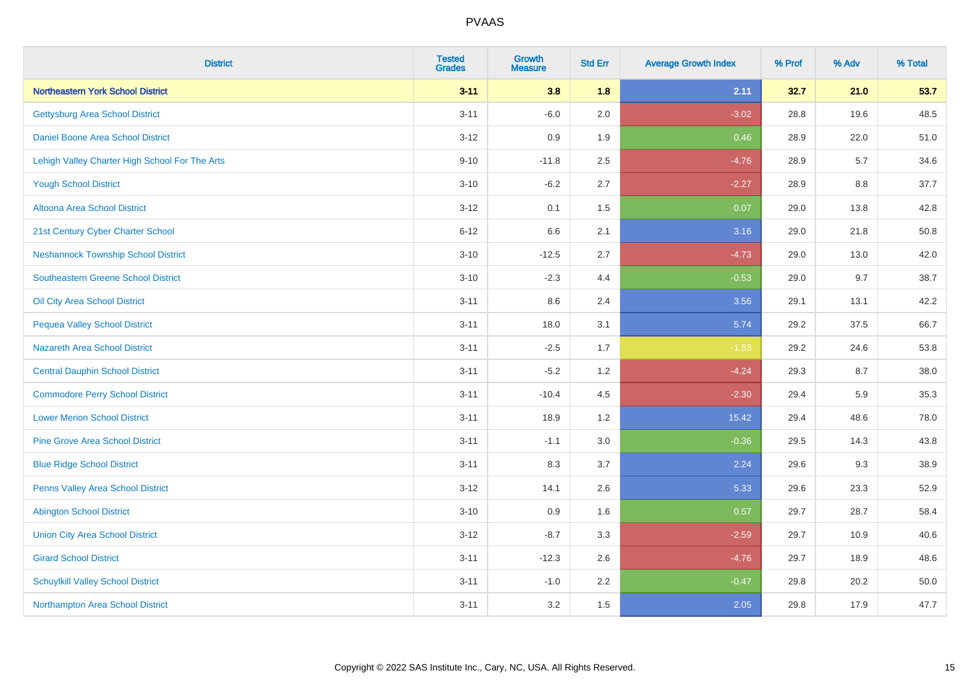| <b>District</b>                                | <b>Tested</b><br><b>Grades</b> | <b>Growth</b><br><b>Measure</b> | <b>Std Err</b> | <b>Average Growth Index</b> | % Prof | % Adv | % Total |
|------------------------------------------------|--------------------------------|---------------------------------|----------------|-----------------------------|--------|-------|---------|
| <b>Northeastern York School District</b>       | $3 - 11$                       | 3.8                             | 1.8            | 2.11                        | 32.7   | 21.0  | 53.7    |
| <b>Gettysburg Area School District</b>         | $3 - 11$                       | $-6.0$                          | 2.0            | $-3.02$                     | 28.8   | 19.6  | 48.5    |
| Daniel Boone Area School District              | $3 - 12$                       | 0.9                             | 1.9            | 0.46                        | 28.9   | 22.0  | 51.0    |
| Lehigh Valley Charter High School For The Arts | $9 - 10$                       | $-11.8$                         | 2.5            | $-4.76$                     | 28.9   | 5.7   | 34.6    |
| <b>Yough School District</b>                   | $3 - 10$                       | $-6.2$                          | 2.7            | $-2.27$                     | 28.9   | 8.8   | 37.7    |
| Altoona Area School District                   | $3 - 12$                       | 0.1                             | 1.5            | 0.07                        | 29.0   | 13.8  | 42.8    |
| 21st Century Cyber Charter School              | $6 - 12$                       | 6.6                             | 2.1            | 3.16                        | 29.0   | 21.8  | 50.8    |
| <b>Neshannock Township School District</b>     | $3 - 10$                       | $-12.5$                         | 2.7            | $-4.73$                     | 29.0   | 13.0  | 42.0    |
| <b>Southeastern Greene School District</b>     | $3 - 10$                       | $-2.3$                          | 4.4            | $-0.53$                     | 29.0   | 9.7   | 38.7    |
| Oil City Area School District                  | $3 - 11$                       | 8.6                             | 2.4            | 3.56                        | 29.1   | 13.1  | 42.2    |
| <b>Pequea Valley School District</b>           | $3 - 11$                       | 18.0                            | 3.1            | 5.74                        | 29.2   | 37.5  | 66.7    |
| <b>Nazareth Area School District</b>           | $3 - 11$                       | $-2.5$                          | 1.7            | $-1.53$                     | 29.2   | 24.6  | 53.8    |
| <b>Central Dauphin School District</b>         | $3 - 11$                       | $-5.2$                          | 1.2            | $-4.24$                     | 29.3   | 8.7   | 38.0    |
| <b>Commodore Perry School District</b>         | $3 - 11$                       | $-10.4$                         | 4.5            | $-2.30$                     | 29.4   | 5.9   | 35.3    |
| <b>Lower Merion School District</b>            | $3 - 11$                       | 18.9                            | 1.2            | 15.42                       | 29.4   | 48.6  | 78.0    |
| <b>Pine Grove Area School District</b>         | $3 - 11$                       | $-1.1$                          | 3.0            | $-0.36$                     | 29.5   | 14.3  | 43.8    |
| <b>Blue Ridge School District</b>              | $3 - 11$                       | 8.3                             | 3.7            | 2.24                        | 29.6   | 9.3   | 38.9    |
| Penns Valley Area School District              | $3 - 12$                       | 14.1                            | 2.6            | 5.33                        | 29.6   | 23.3  | 52.9    |
| <b>Abington School District</b>                | $3 - 10$                       | 0.9                             | 1.6            | 0.57                        | 29.7   | 28.7  | 58.4    |
| <b>Union City Area School District</b>         | $3 - 12$                       | $-8.7$                          | 3.3            | $-2.59$                     | 29.7   | 10.9  | 40.6    |
| <b>Girard School District</b>                  | $3 - 11$                       | $-12.3$                         | 2.6            | $-4.76$                     | 29.7   | 18.9  | 48.6    |
| <b>Schuylkill Valley School District</b>       | $3 - 11$                       | $-1.0$                          | 2.2            | $-0.47$                     | 29.8   | 20.2  | 50.0    |
| Northampton Area School District               | $3 - 11$                       | 3.2                             | 1.5            | 2.05                        | 29.8   | 17.9  | 47.7    |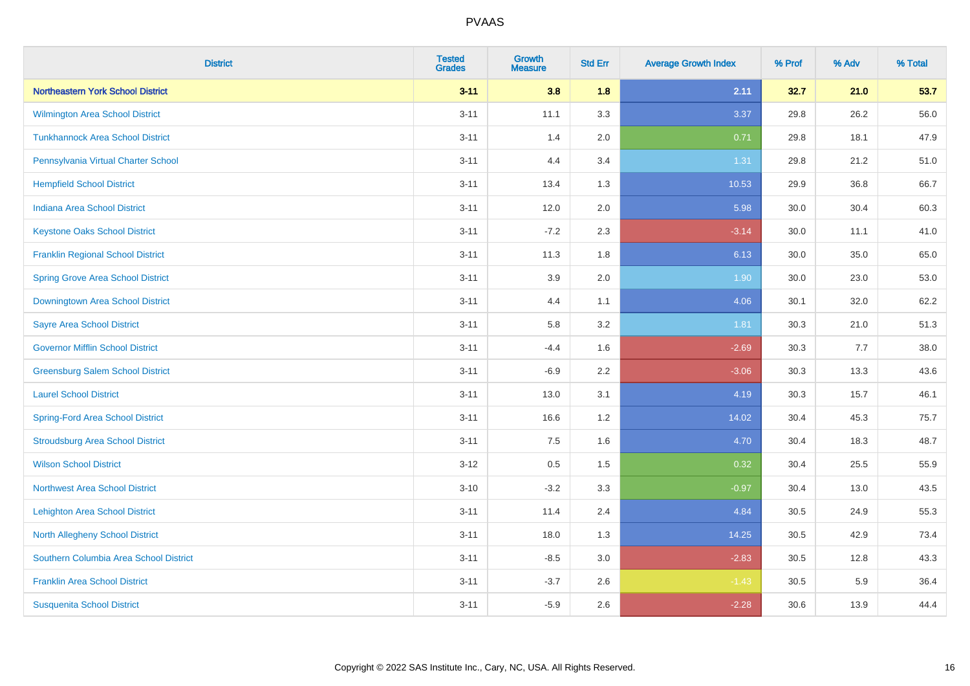| <b>District</b>                          | <b>Tested</b><br><b>Grades</b> | <b>Growth</b><br><b>Measure</b> | <b>Std Err</b> | <b>Average Growth Index</b> | % Prof | % Adv | % Total |
|------------------------------------------|--------------------------------|---------------------------------|----------------|-----------------------------|--------|-------|---------|
| Northeastern York School District        | $3 - 11$                       | 3.8                             | 1.8            | 2.11                        | 32.7   | 21.0  | 53.7    |
| Wilmington Area School District          | $3 - 11$                       | 11.1                            | 3.3            | 3.37                        | 29.8   | 26.2  | 56.0    |
| <b>Tunkhannock Area School District</b>  | $3 - 11$                       | 1.4                             | 2.0            | 0.71                        | 29.8   | 18.1  | 47.9    |
| Pennsylvania Virtual Charter School      | $3 - 11$                       | 4.4                             | 3.4            | 1.31                        | 29.8   | 21.2  | 51.0    |
| <b>Hempfield School District</b>         | $3 - 11$                       | 13.4                            | 1.3            | 10.53                       | 29.9   | 36.8  | 66.7    |
| <b>Indiana Area School District</b>      | $3 - 11$                       | 12.0                            | 2.0            | 5.98                        | 30.0   | 30.4  | 60.3    |
| <b>Keystone Oaks School District</b>     | $3 - 11$                       | $-7.2$                          | 2.3            | $-3.14$                     | 30.0   | 11.1  | 41.0    |
| <b>Franklin Regional School District</b> | $3 - 11$                       | 11.3                            | 1.8            | 6.13                        | 30.0   | 35.0  | 65.0    |
| <b>Spring Grove Area School District</b> | $3 - 11$                       | 3.9                             | 2.0            | 1.90                        | 30.0   | 23.0  | 53.0    |
| Downingtown Area School District         | $3 - 11$                       | 4.4                             | 1.1            | 4.06                        | 30.1   | 32.0  | 62.2    |
| <b>Sayre Area School District</b>        | $3 - 11$                       | 5.8                             | 3.2            | 1.81                        | 30.3   | 21.0  | 51.3    |
| <b>Governor Mifflin School District</b>  | $3 - 11$                       | $-4.4$                          | 1.6            | $-2.69$                     | 30.3   | 7.7   | 38.0    |
| <b>Greensburg Salem School District</b>  | $3 - 11$                       | $-6.9$                          | 2.2            | $-3.06$                     | 30.3   | 13.3  | 43.6    |
| <b>Laurel School District</b>            | $3 - 11$                       | 13.0                            | 3.1            | 4.19                        | 30.3   | 15.7  | 46.1    |
| <b>Spring-Ford Area School District</b>  | $3 - 11$                       | 16.6                            | 1.2            | 14.02                       | 30.4   | 45.3  | 75.7    |
| <b>Stroudsburg Area School District</b>  | $3 - 11$                       | 7.5                             | 1.6            | 4.70                        | 30.4   | 18.3  | 48.7    |
| <b>Wilson School District</b>            | $3 - 12$                       | 0.5                             | 1.5            | 0.32                        | 30.4   | 25.5  | 55.9    |
| <b>Northwest Area School District</b>    | $3 - 10$                       | $-3.2$                          | 3.3            | $-0.97$                     | 30.4   | 13.0  | 43.5    |
| <b>Lehighton Area School District</b>    | $3 - 11$                       | 11.4                            | 2.4            | 4.84                        | 30.5   | 24.9  | 55.3    |
| <b>North Allegheny School District</b>   | $3 - 11$                       | 18.0                            | 1.3            | 14.25                       | 30.5   | 42.9  | 73.4    |
| Southern Columbia Area School District   | $3 - 11$                       | $-8.5$                          | 3.0            | $-2.83$                     | 30.5   | 12.8  | 43.3    |
| <b>Franklin Area School District</b>     | $3 - 11$                       | $-3.7$                          | 2.6            | $-1.43$                     | 30.5   | 5.9   | 36.4    |
| <b>Susquenita School District</b>        | $3 - 11$                       | $-5.9$                          | 2.6            | $-2.28$                     | 30.6   | 13.9  | 44.4    |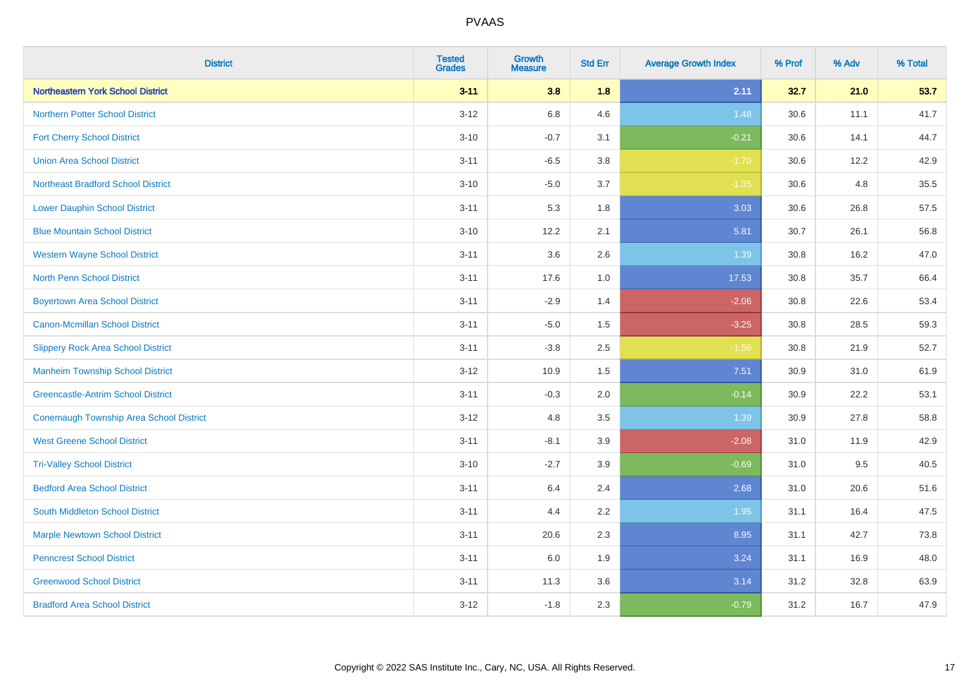| <b>District</b>                                | <b>Tested</b><br><b>Grades</b> | <b>Growth</b><br><b>Measure</b> | <b>Std Err</b> | <b>Average Growth Index</b> | % Prof | % Adv | % Total |
|------------------------------------------------|--------------------------------|---------------------------------|----------------|-----------------------------|--------|-------|---------|
| Northeastern York School District              | $3 - 11$                       | 3.8                             | 1.8            | 2.11                        | 32.7   | 21.0  | 53.7    |
| <b>Northern Potter School District</b>         | $3 - 12$                       | 6.8                             | 4.6            | 1.48                        | 30.6   | 11.1  | 41.7    |
| <b>Fort Cherry School District</b>             | $3 - 10$                       | $-0.7$                          | 3.1            | $-0.21$                     | 30.6   | 14.1  | 44.7    |
| <b>Union Area School District</b>              | $3 - 11$                       | $-6.5$                          | 3.8            | $-1.70$                     | 30.6   | 12.2  | 42.9    |
| <b>Northeast Bradford School District</b>      | $3 - 10$                       | $-5.0$                          | 3.7            | $-1.35$                     | 30.6   | 4.8   | 35.5    |
| <b>Lower Dauphin School District</b>           | $3 - 11$                       | 5.3                             | 1.8            | 3.03                        | 30.6   | 26.8  | 57.5    |
| <b>Blue Mountain School District</b>           | $3 - 10$                       | 12.2                            | 2.1            | 5.81                        | 30.7   | 26.1  | 56.8    |
| <b>Western Wayne School District</b>           | $3 - 11$                       | 3.6                             | 2.6            | 1.39                        | 30.8   | 16.2  | 47.0    |
| <b>North Penn School District</b>              | $3 - 11$                       | 17.6                            | 1.0            | 17.53                       | 30.8   | 35.7  | 66.4    |
| <b>Boyertown Area School District</b>          | $3 - 11$                       | $-2.9$                          | 1.4            | $-2.06$                     | 30.8   | 22.6  | 53.4    |
| <b>Canon-Mcmillan School District</b>          | $3 - 11$                       | $-5.0$                          | 1.5            | $-3.25$                     | 30.8   | 28.5  | 59.3    |
| <b>Slippery Rock Area School District</b>      | $3 - 11$                       | $-3.8$                          | 2.5            | $-1.56$                     | 30.8   | 21.9  | 52.7    |
| <b>Manheim Township School District</b>        | $3 - 12$                       | 10.9                            | 1.5            | 7.51                        | 30.9   | 31.0  | 61.9    |
| <b>Greencastle-Antrim School District</b>      | $3 - 11$                       | $-0.3$                          | 2.0            | $-0.14$                     | 30.9   | 22.2  | 53.1    |
| <b>Conemaugh Township Area School District</b> | $3-12$                         | 4.8                             | 3.5            | 1.39                        | 30.9   | 27.8  | 58.8    |
| <b>West Greene School District</b>             | $3 - 11$                       | $-8.1$                          | 3.9            | $-2.08$                     | 31.0   | 11.9  | 42.9    |
| <b>Tri-Valley School District</b>              | $3 - 10$                       | $-2.7$                          | 3.9            | $-0.69$                     | 31.0   | 9.5   | 40.5    |
| <b>Bedford Area School District</b>            | $3 - 11$                       | 6.4                             | 2.4            | 2.68                        | 31.0   | 20.6  | 51.6    |
| South Middleton School District                | $3 - 11$                       | 4.4                             | 2.2            | 1.95                        | 31.1   | 16.4  | 47.5    |
| <b>Marple Newtown School District</b>          | $3 - 11$                       | 20.6                            | 2.3            | 8.95                        | 31.1   | 42.7  | 73.8    |
| <b>Penncrest School District</b>               | $3 - 11$                       | 6.0                             | 1.9            | 3.24                        | 31.1   | 16.9  | 48.0    |
| <b>Greenwood School District</b>               | $3 - 11$                       | 11.3                            | 3.6            | 3.14                        | 31.2   | 32.8  | 63.9    |
| <b>Bradford Area School District</b>           | $3 - 12$                       | $-1.8$                          | 2.3            | $-0.79$                     | 31.2   | 16.7  | 47.9    |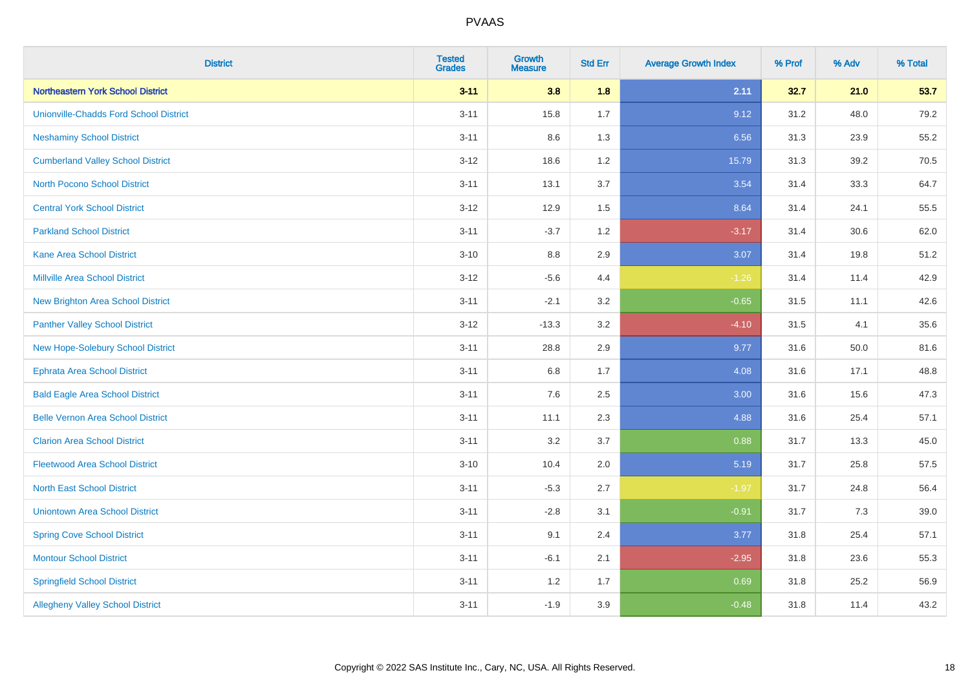| <b>District</b>                               | <b>Tested</b><br><b>Grades</b> | <b>Growth</b><br><b>Measure</b> | <b>Std Err</b> | <b>Average Growth Index</b> | % Prof | % Adv | % Total |
|-----------------------------------------------|--------------------------------|---------------------------------|----------------|-----------------------------|--------|-------|---------|
| Northeastern York School District             | $3 - 11$                       | 3.8                             | 1.8            | 2.11                        | 32.7   | 21.0  | 53.7    |
| <b>Unionville-Chadds Ford School District</b> | $3 - 11$                       | 15.8                            | 1.7            | 9.12                        | 31.2   | 48.0  | 79.2    |
| <b>Neshaminy School District</b>              | $3 - 11$                       | 8.6                             | 1.3            | 6.56                        | 31.3   | 23.9  | 55.2    |
| <b>Cumberland Valley School District</b>      | $3 - 12$                       | 18.6                            | 1.2            | 15.79                       | 31.3   | 39.2  | 70.5    |
| <b>North Pocono School District</b>           | $3 - 11$                       | 13.1                            | 3.7            | 3.54                        | 31.4   | 33.3  | 64.7    |
| <b>Central York School District</b>           | $3 - 12$                       | 12.9                            | 1.5            | 8.64                        | 31.4   | 24.1  | 55.5    |
| <b>Parkland School District</b>               | $3 - 11$                       | $-3.7$                          | 1.2            | $-3.17$                     | 31.4   | 30.6  | 62.0    |
| <b>Kane Area School District</b>              | $3 - 10$                       | 8.8                             | 2.9            | 3.07                        | 31.4   | 19.8  | 51.2    |
| Millville Area School District                | $3-12$                         | $-5.6$                          | 4.4            | $-1.26$                     | 31.4   | 11.4  | 42.9    |
| <b>New Brighton Area School District</b>      | $3 - 11$                       | $-2.1$                          | 3.2            | $-0.65$                     | 31.5   | 11.1  | 42.6    |
| <b>Panther Valley School District</b>         | $3 - 12$                       | $-13.3$                         | 3.2            | $-4.10$                     | 31.5   | 4.1   | 35.6    |
| <b>New Hope-Solebury School District</b>      | $3 - 11$                       | 28.8                            | 2.9            | 9.77                        | 31.6   | 50.0  | 81.6    |
| <b>Ephrata Area School District</b>           | $3 - 11$                       | 6.8                             | 1.7            | 4.08                        | 31.6   | 17.1  | 48.8    |
| <b>Bald Eagle Area School District</b>        | $3 - 11$                       | 7.6                             | 2.5            | 3.00                        | 31.6   | 15.6  | 47.3    |
| <b>Belle Vernon Area School District</b>      | $3 - 11$                       | 11.1                            | 2.3            | 4.88                        | 31.6   | 25.4  | 57.1    |
| <b>Clarion Area School District</b>           | $3 - 11$                       | 3.2                             | 3.7            | 0.88                        | 31.7   | 13.3  | 45.0    |
| <b>Fleetwood Area School District</b>         | $3 - 10$                       | 10.4                            | 2.0            | 5.19                        | 31.7   | 25.8  | 57.5    |
| <b>North East School District</b>             | $3 - 11$                       | $-5.3$                          | 2.7            | $-1.97$                     | 31.7   | 24.8  | 56.4    |
| <b>Uniontown Area School District</b>         | $3 - 11$                       | $-2.8$                          | 3.1            | $-0.91$                     | 31.7   | $7.3$ | 39.0    |
| <b>Spring Cove School District</b>            | $3 - 11$                       | 9.1                             | 2.4            | 3.77                        | 31.8   | 25.4  | 57.1    |
| <b>Montour School District</b>                | $3 - 11$                       | $-6.1$                          | 2.1            | $-2.95$                     | 31.8   | 23.6  | 55.3    |
| <b>Springfield School District</b>            | $3 - 11$                       | 1.2                             | 1.7            | 0.69                        | 31.8   | 25.2  | 56.9    |
| <b>Allegheny Valley School District</b>       | $3 - 11$                       | $-1.9$                          | 3.9            | $-0.48$                     | 31.8   | 11.4  | 43.2    |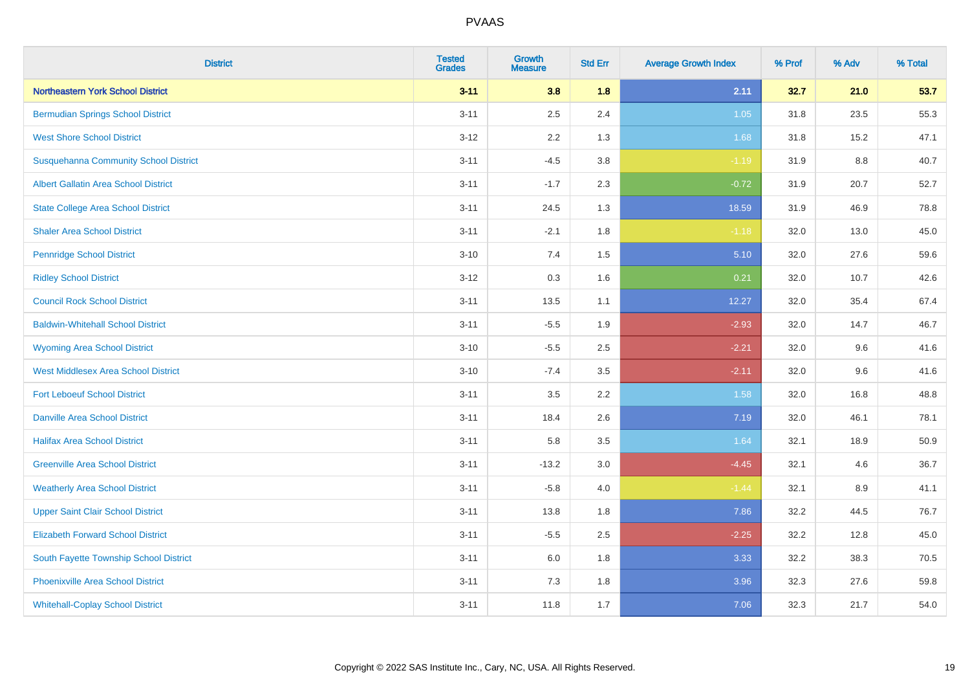| <b>District</b>                              | <b>Tested</b><br><b>Grades</b> | <b>Growth</b><br><b>Measure</b> | <b>Std Err</b> | <b>Average Growth Index</b> | % Prof | % Adv   | % Total |
|----------------------------------------------|--------------------------------|---------------------------------|----------------|-----------------------------|--------|---------|---------|
| Northeastern York School District            | $3 - 11$                       | 3.8                             | 1.8            | 2.11                        | 32.7   | 21.0    | 53.7    |
| <b>Bermudian Springs School District</b>     | $3 - 11$                       | 2.5                             | 2.4            | 1.05                        | 31.8   | 23.5    | 55.3    |
| <b>West Shore School District</b>            | $3 - 12$                       | 2.2                             | 1.3            | 1.68                        | 31.8   | 15.2    | 47.1    |
| <b>Susquehanna Community School District</b> | $3 - 11$                       | $-4.5$                          | 3.8            | $-1.19$                     | 31.9   | 8.8     | 40.7    |
| <b>Albert Gallatin Area School District</b>  | $3 - 11$                       | $-1.7$                          | 2.3            | $-0.72$                     | 31.9   | 20.7    | 52.7    |
| <b>State College Area School District</b>    | $3 - 11$                       | 24.5                            | 1.3            | 18.59                       | 31.9   | 46.9    | 78.8    |
| <b>Shaler Area School District</b>           | $3 - 11$                       | $-2.1$                          | 1.8            | $-1.18$                     | 32.0   | 13.0    | 45.0    |
| <b>Pennridge School District</b>             | $3 - 10$                       | 7.4                             | 1.5            | 5.10                        | 32.0   | 27.6    | 59.6    |
| <b>Ridley School District</b>                | $3 - 12$                       | 0.3                             | 1.6            | 0.21                        | 32.0   | 10.7    | 42.6    |
| <b>Council Rock School District</b>          | $3 - 11$                       | 13.5                            | 1.1            | 12.27                       | 32.0   | 35.4    | 67.4    |
| <b>Baldwin-Whitehall School District</b>     | $3 - 11$                       | $-5.5$                          | 1.9            | $-2.93$                     | 32.0   | 14.7    | 46.7    |
| <b>Wyoming Area School District</b>          | $3 - 10$                       | $-5.5$                          | 2.5            | $-2.21$                     | 32.0   | 9.6     | 41.6    |
| West Middlesex Area School District          | $3 - 10$                       | $-7.4$                          | 3.5            | $-2.11$                     | 32.0   | $9.6\,$ | 41.6    |
| <b>Fort Leboeuf School District</b>          | $3 - 11$                       | 3.5                             | 2.2            | 1.58                        | 32.0   | 16.8    | 48.8    |
| <b>Danville Area School District</b>         | $3 - 11$                       | 18.4                            | 2.6            | 7.19                        | 32.0   | 46.1    | 78.1    |
| <b>Halifax Area School District</b>          | $3 - 11$                       | 5.8                             | 3.5            | 1.64                        | 32.1   | 18.9    | 50.9    |
| <b>Greenville Area School District</b>       | $3 - 11$                       | $-13.2$                         | 3.0            | $-4.45$                     | 32.1   | 4.6     | 36.7    |
| <b>Weatherly Area School District</b>        | $3 - 11$                       | $-5.8$                          | 4.0            | $-1.44$                     | 32.1   | 8.9     | 41.1    |
| <b>Upper Saint Clair School District</b>     | $3 - 11$                       | 13.8                            | 1.8            | 7.86                        | 32.2   | 44.5    | 76.7    |
| <b>Elizabeth Forward School District</b>     | $3 - 11$                       | $-5.5$                          | 2.5            | $-2.25$                     | 32.2   | 12.8    | 45.0    |
| South Fayette Township School District       | $3 - 11$                       | 6.0                             | 1.8            | 3.33                        | 32.2   | 38.3    | 70.5    |
| <b>Phoenixville Area School District</b>     | $3 - 11$                       | 7.3                             | 1.8            | 3.96                        | 32.3   | 27.6    | 59.8    |
| <b>Whitehall-Coplay School District</b>      | $3 - 11$                       | 11.8                            | 1.7            | 7.06                        | 32.3   | 21.7    | 54.0    |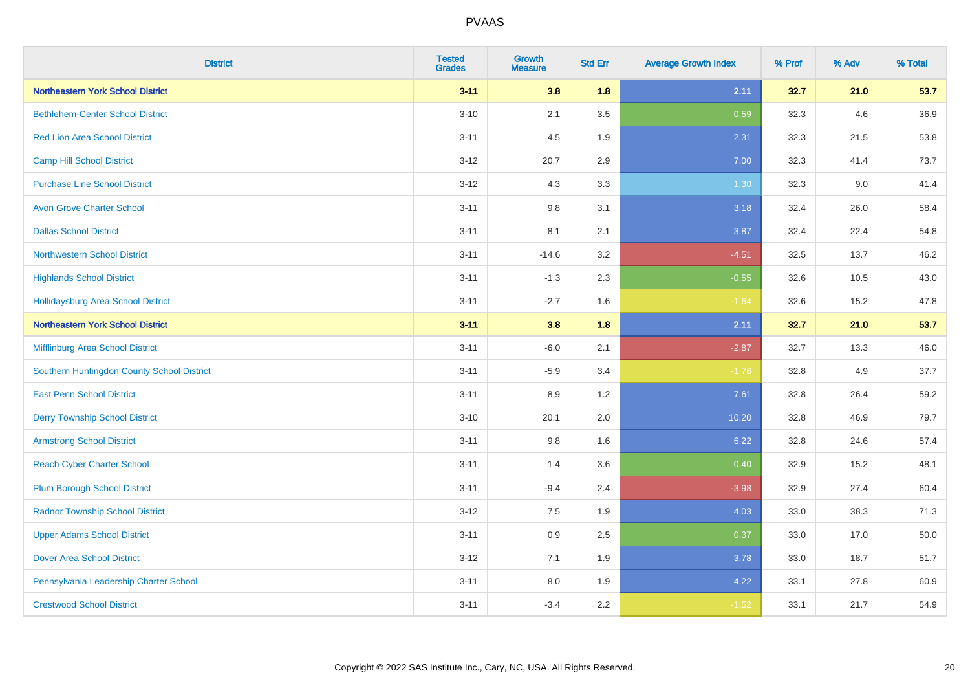| <b>District</b>                            | <b>Tested</b><br><b>Grades</b> | <b>Growth</b><br><b>Measure</b> | <b>Std Err</b> | <b>Average Growth Index</b> | % Prof | % Adv | % Total |
|--------------------------------------------|--------------------------------|---------------------------------|----------------|-----------------------------|--------|-------|---------|
| <b>Northeastern York School District</b>   | $3 - 11$                       | 3.8                             | 1.8            | 2.11                        | 32.7   | 21.0  | 53.7    |
| <b>Bethlehem-Center School District</b>    | $3 - 10$                       | 2.1                             | 3.5            | 0.59                        | 32.3   | 4.6   | 36.9    |
| <b>Red Lion Area School District</b>       | $3 - 11$                       | 4.5                             | 1.9            | 2.31                        | 32.3   | 21.5  | 53.8    |
| <b>Camp Hill School District</b>           | $3 - 12$                       | 20.7                            | 2.9            | 7.00                        | 32.3   | 41.4  | 73.7    |
| <b>Purchase Line School District</b>       | $3 - 12$                       | 4.3                             | 3.3            | 1.30                        | 32.3   | 9.0   | 41.4    |
| <b>Avon Grove Charter School</b>           | $3 - 11$                       | 9.8                             | 3.1            | 3.18                        | 32.4   | 26.0  | 58.4    |
| <b>Dallas School District</b>              | $3 - 11$                       | 8.1                             | 2.1            | 3.87                        | 32.4   | 22.4  | 54.8    |
| <b>Northwestern School District</b>        | $3 - 11$                       | $-14.6$                         | 3.2            | $-4.51$                     | 32.5   | 13.7  | 46.2    |
| <b>Highlands School District</b>           | $3 - 11$                       | $-1.3$                          | 2.3            | $-0.55$                     | 32.6   | 10.5  | 43.0    |
| <b>Hollidaysburg Area School District</b>  | $3 - 11$                       | $-2.7$                          | 1.6            | $-1.64$                     | 32.6   | 15.2  | 47.8    |
| <b>Northeastern York School District</b>   | $3 - 11$                       | 3.8                             | 1.8            | 2.11                        | 32.7   | 21.0  | 53.7    |
| Mifflinburg Area School District           | $3 - 11$                       | $-6.0$                          | 2.1            | $-2.87$                     | 32.7   | 13.3  | 46.0    |
| Southern Huntingdon County School District | $3 - 11$                       | $-5.9$                          | 3.4            | $-1.76$                     | 32.8   | 4.9   | 37.7    |
| <b>East Penn School District</b>           | $3 - 11$                       | 8.9                             | 1.2            | 7.61                        | 32.8   | 26.4  | 59.2    |
| <b>Derry Township School District</b>      | $3 - 10$                       | 20.1                            | 2.0            | 10.20                       | 32.8   | 46.9  | 79.7    |
| <b>Armstrong School District</b>           | $3 - 11$                       | 9.8                             | 1.6            | 6.22                        | 32.8   | 24.6  | 57.4    |
| <b>Reach Cyber Charter School</b>          | $3 - 11$                       | 1.4                             | 3.6            | 0.40                        | 32.9   | 15.2  | 48.1    |
| <b>Plum Borough School District</b>        | $3 - 11$                       | $-9.4$                          | 2.4            | $-3.98$                     | 32.9   | 27.4  | 60.4    |
| <b>Radnor Township School District</b>     | $3 - 12$                       | $7.5\,$                         | 1.9            | 4.03                        | 33.0   | 38.3  | 71.3    |
| <b>Upper Adams School District</b>         | $3 - 11$                       | 0.9                             | 2.5            | 0.37                        | 33.0   | 17.0  | 50.0    |
| <b>Dover Area School District</b>          | $3 - 12$                       | 7.1                             | 1.9            | 3.78                        | 33.0   | 18.7  | 51.7    |
| Pennsylvania Leadership Charter School     | $3 - 11$                       | 8.0                             | 1.9            | 4.22                        | 33.1   | 27.8  | 60.9    |
| <b>Crestwood School District</b>           | $3 - 11$                       | $-3.4$                          | 2.2            | $-1.52$                     | 33.1   | 21.7  | 54.9    |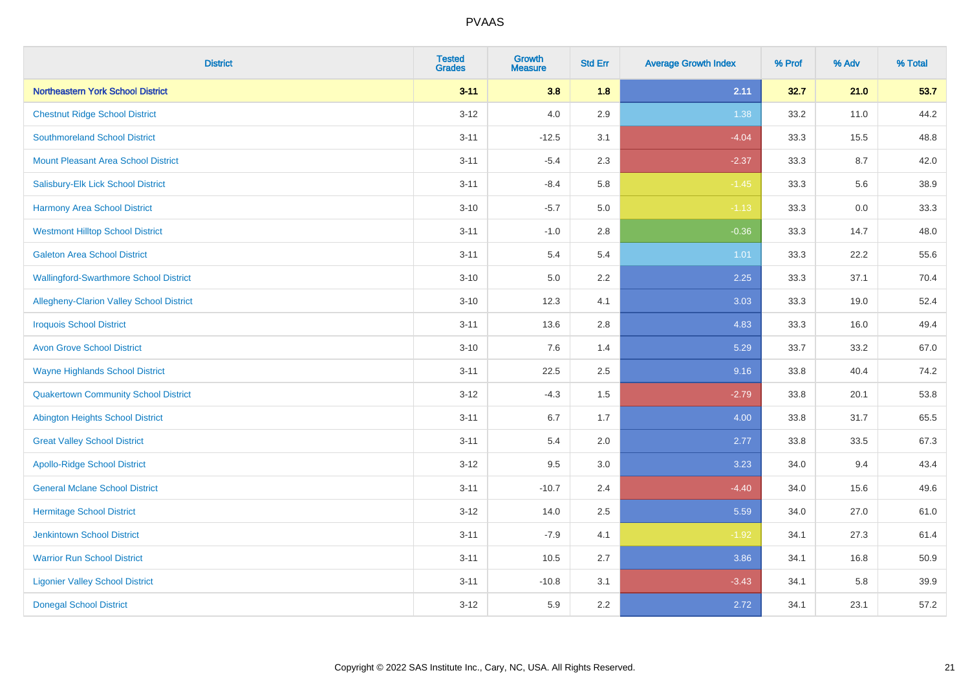| <b>District</b>                               | <b>Tested</b><br><b>Grades</b> | <b>Growth</b><br><b>Measure</b> | <b>Std Err</b> | <b>Average Growth Index</b> | % Prof | % Adv | % Total |
|-----------------------------------------------|--------------------------------|---------------------------------|----------------|-----------------------------|--------|-------|---------|
| Northeastern York School District             | $3 - 11$                       | 3.8                             | 1.8            | 2.11                        | 32.7   | 21.0  | 53.7    |
| <b>Chestnut Ridge School District</b>         | $3 - 12$                       | $4.0\,$                         | 2.9            | 1.38                        | 33.2   | 11.0  | 44.2    |
| <b>Southmoreland School District</b>          | $3 - 11$                       | $-12.5$                         | 3.1            | $-4.04$                     | 33.3   | 15.5  | 48.8    |
| <b>Mount Pleasant Area School District</b>    | $3 - 11$                       | $-5.4$                          | 2.3            | $-2.37$                     | 33.3   | 8.7   | 42.0    |
| Salisbury-Elk Lick School District            | $3 - 11$                       | $-8.4$                          | 5.8            | $-1.45$                     | 33.3   | 5.6   | 38.9    |
| <b>Harmony Area School District</b>           | $3 - 10$                       | $-5.7$                          | 5.0            | $-1.13$                     | 33.3   | 0.0   | 33.3    |
| <b>Westmont Hilltop School District</b>       | $3 - 11$                       | $-1.0$                          | 2.8            | $-0.36$                     | 33.3   | 14.7  | 48.0    |
| <b>Galeton Area School District</b>           | $3 - 11$                       | 5.4                             | 5.4            | 1.01                        | 33.3   | 22.2  | 55.6    |
| <b>Wallingford-Swarthmore School District</b> | $3 - 10$                       | 5.0                             | 2.2            | 2.25                        | 33.3   | 37.1  | 70.4    |
| Allegheny-Clarion Valley School District      | $3 - 10$                       | 12.3                            | 4.1            | 3.03                        | 33.3   | 19.0  | 52.4    |
| <b>Iroquois School District</b>               | $3 - 11$                       | 13.6                            | 2.8            | 4.83                        | 33.3   | 16.0  | 49.4    |
| <b>Avon Grove School District</b>             | $3 - 10$                       | 7.6                             | 1.4            | 5.29                        | 33.7   | 33.2  | 67.0    |
| <b>Wayne Highlands School District</b>        | $3 - 11$                       | 22.5                            | 2.5            | 9.16                        | 33.8   | 40.4  | 74.2    |
| <b>Quakertown Community School District</b>   | $3 - 12$                       | $-4.3$                          | 1.5            | $-2.79$                     | 33.8   | 20.1  | 53.8    |
| <b>Abington Heights School District</b>       | $3 - 11$                       | 6.7                             | 1.7            | 4.00                        | 33.8   | 31.7  | 65.5    |
| <b>Great Valley School District</b>           | $3 - 11$                       | 5.4                             | 2.0            | 2.77                        | 33.8   | 33.5  | 67.3    |
| <b>Apollo-Ridge School District</b>           | $3 - 12$                       | 9.5                             | 3.0            | 3.23                        | 34.0   | 9.4   | 43.4    |
| <b>General Mclane School District</b>         | $3 - 11$                       | $-10.7$                         | 2.4            | $-4.40$                     | 34.0   | 15.6  | 49.6    |
| <b>Hermitage School District</b>              | $3 - 12$                       | 14.0                            | 2.5            | 5.59                        | 34.0   | 27.0  | 61.0    |
| <b>Jenkintown School District</b>             | $3 - 11$                       | $-7.9$                          | 4.1            | $-1.92$                     | 34.1   | 27.3  | 61.4    |
| <b>Warrior Run School District</b>            | $3 - 11$                       | 10.5                            | 2.7            | 3.86                        | 34.1   | 16.8  | 50.9    |
| <b>Ligonier Valley School District</b>        | $3 - 11$                       | $-10.8$                         | 3.1            | $-3.43$                     | 34.1   | 5.8   | 39.9    |
| <b>Donegal School District</b>                | $3 - 12$                       | 5.9                             | 2.2            | 2.72                        | 34.1   | 23.1  | 57.2    |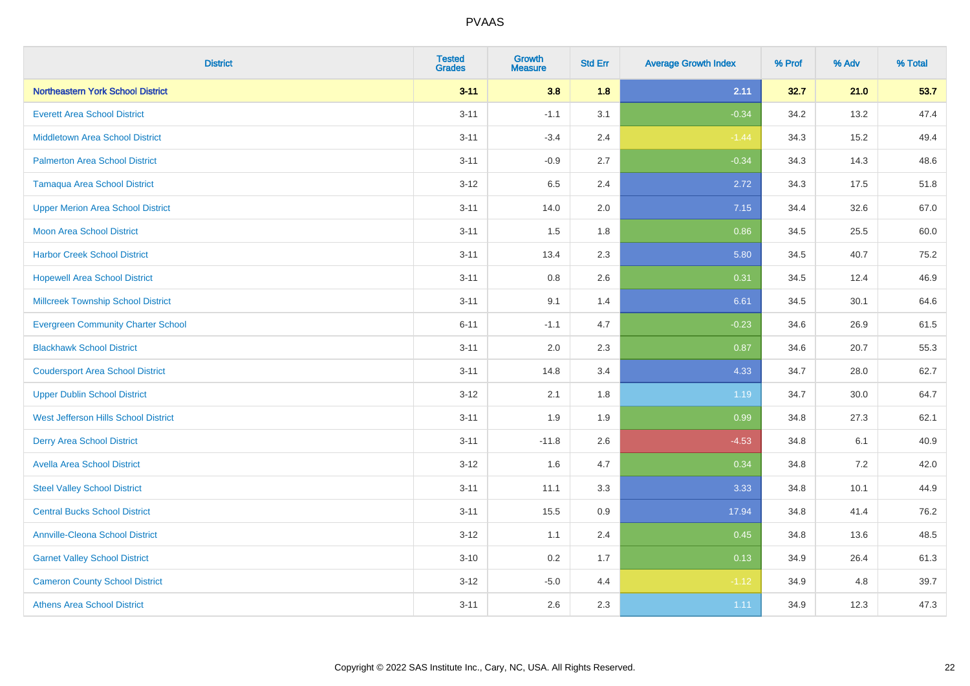| <b>District</b>                           | <b>Tested</b><br><b>Grades</b> | <b>Growth</b><br><b>Measure</b> | <b>Std Err</b> | <b>Average Growth Index</b> | % Prof | % Adv | % Total |
|-------------------------------------------|--------------------------------|---------------------------------|----------------|-----------------------------|--------|-------|---------|
| Northeastern York School District         | $3 - 11$                       | 3.8                             | 1.8            | 2.11                        | 32.7   | 21.0  | 53.7    |
| <b>Everett Area School District</b>       | $3 - 11$                       | $-1.1$                          | 3.1            | $-0.34$                     | 34.2   | 13.2  | 47.4    |
| <b>Middletown Area School District</b>    | $3 - 11$                       | $-3.4$                          | 2.4            | $-1.44$                     | 34.3   | 15.2  | 49.4    |
| <b>Palmerton Area School District</b>     | $3 - 11$                       | $-0.9$                          | 2.7            | $-0.34$                     | 34.3   | 14.3  | 48.6    |
| <b>Tamaqua Area School District</b>       | $3 - 12$                       | 6.5                             | 2.4            | 2.72                        | 34.3   | 17.5  | 51.8    |
| <b>Upper Merion Area School District</b>  | $3 - 11$                       | 14.0                            | 2.0            | 7.15                        | 34.4   | 32.6  | 67.0    |
| Moon Area School District                 | $3 - 11$                       | 1.5                             | 1.8            | 0.86                        | 34.5   | 25.5  | 60.0    |
| <b>Harbor Creek School District</b>       | $3 - 11$                       | 13.4                            | 2.3            | 5.80                        | 34.5   | 40.7  | 75.2    |
| <b>Hopewell Area School District</b>      | $3 - 11$                       | 0.8                             | 2.6            | 0.31                        | 34.5   | 12.4  | 46.9    |
| <b>Millcreek Township School District</b> | $3 - 11$                       | 9.1                             | 1.4            | 6.61                        | 34.5   | 30.1  | 64.6    |
| <b>Evergreen Community Charter School</b> | $6 - 11$                       | $-1.1$                          | 4.7            | $-0.23$                     | 34.6   | 26.9  | 61.5    |
| <b>Blackhawk School District</b>          | $3 - 11$                       | 2.0                             | 2.3            | 0.87                        | 34.6   | 20.7  | 55.3    |
| <b>Coudersport Area School District</b>   | $3 - 11$                       | 14.8                            | 3.4            | 4.33                        | 34.7   | 28.0  | 62.7    |
| <b>Upper Dublin School District</b>       | $3 - 12$                       | 2.1                             | 1.8            | 1.19                        | 34.7   | 30.0  | 64.7    |
| West Jefferson Hills School District      | $3 - 11$                       | 1.9                             | 1.9            | 0.99                        | 34.8   | 27.3  | 62.1    |
| <b>Derry Area School District</b>         | $3 - 11$                       | $-11.8$                         | 2.6            | $-4.53$                     | 34.8   | 6.1   | 40.9    |
| <b>Avella Area School District</b>        | $3 - 12$                       | 1.6                             | 4.7            | 0.34                        | 34.8   | 7.2   | 42.0    |
| <b>Steel Valley School District</b>       | $3 - 11$                       | 11.1                            | 3.3            | 3.33                        | 34.8   | 10.1  | 44.9    |
| <b>Central Bucks School District</b>      | $3 - 11$                       | 15.5                            | 0.9            | 17.94                       | 34.8   | 41.4  | 76.2    |
| <b>Annville-Cleona School District</b>    | $3 - 12$                       | 1.1                             | 2.4            | 0.45                        | 34.8   | 13.6  | 48.5    |
| <b>Garnet Valley School District</b>      | $3 - 10$                       | 0.2                             | 1.7            | 0.13                        | 34.9   | 26.4  | 61.3    |
| <b>Cameron County School District</b>     | $3 - 12$                       | $-5.0$                          | 4.4            | $-1.12$                     | 34.9   | 4.8   | 39.7    |
| <b>Athens Area School District</b>        | $3 - 11$                       | 2.6                             | 2.3            | 1.11                        | 34.9   | 12.3  | 47.3    |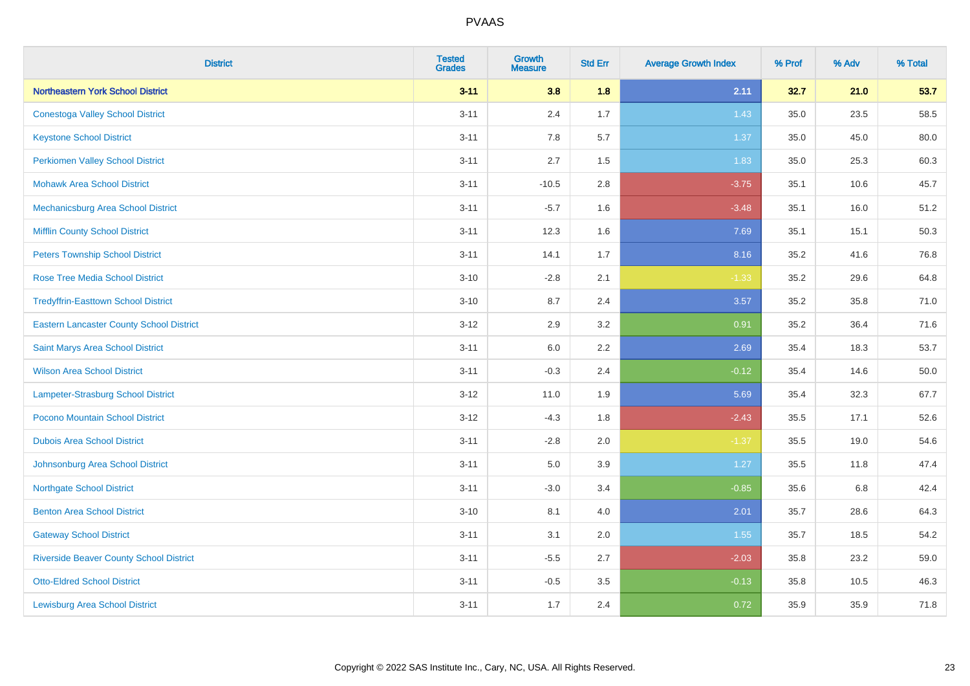| <b>District</b>                                 | <b>Tested</b><br><b>Grades</b> | <b>Growth</b><br><b>Measure</b> | <b>Std Err</b> | <b>Average Growth Index</b> | % Prof | % Adv | % Total |
|-------------------------------------------------|--------------------------------|---------------------------------|----------------|-----------------------------|--------|-------|---------|
| Northeastern York School District               | $3 - 11$                       | 3.8                             | 1.8            | 2.11                        | 32.7   | 21.0  | 53.7    |
| <b>Conestoga Valley School District</b>         | $3 - 11$                       | 2.4                             | 1.7            | 1.43                        | 35.0   | 23.5  | 58.5    |
| <b>Keystone School District</b>                 | $3 - 11$                       | 7.8                             | 5.7            | 1.37                        | 35.0   | 45.0  | 80.0    |
| <b>Perkiomen Valley School District</b>         | $3 - 11$                       | 2.7                             | 1.5            | 1.83                        | 35.0   | 25.3  | 60.3    |
| <b>Mohawk Area School District</b>              | $3 - 11$                       | $-10.5$                         | 2.8            | $-3.75$                     | 35.1   | 10.6  | 45.7    |
| Mechanicsburg Area School District              | $3 - 11$                       | $-5.7$                          | 1.6            | $-3.48$                     | 35.1   | 16.0  | 51.2    |
| <b>Mifflin County School District</b>           | $3 - 11$                       | 12.3                            | 1.6            | 7.69                        | 35.1   | 15.1  | 50.3    |
| <b>Peters Township School District</b>          | $3 - 11$                       | 14.1                            | 1.7            | 8.16                        | 35.2   | 41.6  | 76.8    |
| <b>Rose Tree Media School District</b>          | $3 - 10$                       | $-2.8$                          | 2.1            | $-1.33$                     | 35.2   | 29.6  | 64.8    |
| <b>Tredyffrin-Easttown School District</b>      | $3 - 10$                       | 8.7                             | 2.4            | 3.57                        | 35.2   | 35.8  | 71.0    |
| <b>Eastern Lancaster County School District</b> | $3 - 12$                       | 2.9                             | 3.2            | 0.91                        | 35.2   | 36.4  | 71.6    |
| Saint Marys Area School District                | $3 - 11$                       | 6.0                             | 2.2            | 2.69                        | 35.4   | 18.3  | 53.7    |
| <b>Wilson Area School District</b>              | $3 - 11$                       | $-0.3$                          | 2.4            | $-0.12$                     | 35.4   | 14.6  | 50.0    |
| Lampeter-Strasburg School District              | $3 - 12$                       | 11.0                            | 1.9            | 5.69                        | 35.4   | 32.3  | 67.7    |
| Pocono Mountain School District                 | $3 - 12$                       | $-4.3$                          | 1.8            | $-2.43$                     | 35.5   | 17.1  | 52.6    |
| <b>Dubois Area School District</b>              | $3 - 11$                       | $-2.8$                          | 2.0            | $-1.37$                     | 35.5   | 19.0  | 54.6    |
| Johnsonburg Area School District                | $3 - 11$                       | 5.0                             | 3.9            | 1.27                        | 35.5   | 11.8  | 47.4    |
| <b>Northgate School District</b>                | $3 - 11$                       | $-3.0$                          | 3.4            | $-0.85$                     | 35.6   | 6.8   | 42.4    |
| <b>Benton Area School District</b>              | $3 - 10$                       | 8.1                             | 4.0            | 2.01                        | 35.7   | 28.6  | 64.3    |
| <b>Gateway School District</b>                  | $3 - 11$                       | 3.1                             | 2.0            | 1.55                        | 35.7   | 18.5  | 54.2    |
| <b>Riverside Beaver County School District</b>  | $3 - 11$                       | $-5.5$                          | 2.7            | $-2.03$                     | 35.8   | 23.2  | 59.0    |
| <b>Otto-Eldred School District</b>              | $3 - 11$                       | $-0.5$                          | 3.5            | $-0.13$                     | 35.8   | 10.5  | 46.3    |
| <b>Lewisburg Area School District</b>           | $3 - 11$                       | 1.7                             | 2.4            | 0.72                        | 35.9   | 35.9  | 71.8    |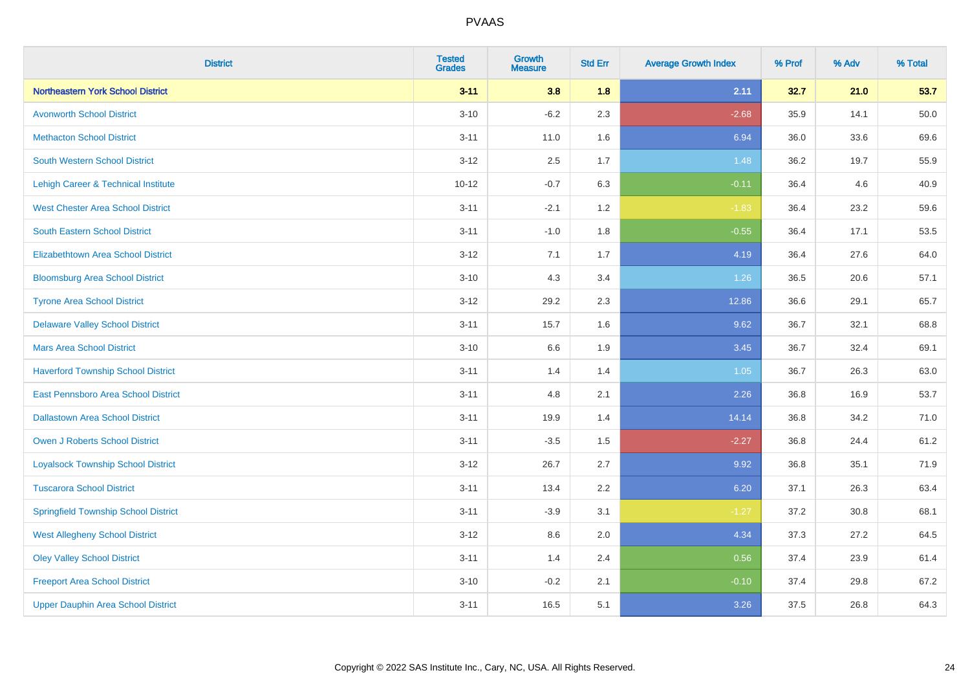| <b>District</b>                             | <b>Tested</b><br><b>Grades</b> | <b>Growth</b><br><b>Measure</b> | <b>Std Err</b> | <b>Average Growth Index</b> | % Prof | % Adv | % Total |
|---------------------------------------------|--------------------------------|---------------------------------|----------------|-----------------------------|--------|-------|---------|
| <b>Northeastern York School District</b>    | $3 - 11$                       | 3.8                             | 1.8            | 2.11                        | 32.7   | 21.0  | 53.7    |
| <b>Avonworth School District</b>            | $3 - 10$                       | $-6.2$                          | 2.3            | $-2.68$                     | 35.9   | 14.1  | 50.0    |
| <b>Methacton School District</b>            | $3 - 11$                       | 11.0                            | 1.6            | 6.94                        | 36.0   | 33.6  | 69.6    |
| <b>South Western School District</b>        | $3 - 12$                       | 2.5                             | 1.7            | 1.48                        | 36.2   | 19.7  | 55.9    |
| Lehigh Career & Technical Institute         | $10 - 12$                      | $-0.7$                          | 6.3            | $-0.11$                     | 36.4   | 4.6   | 40.9    |
| <b>West Chester Area School District</b>    | $3 - 11$                       | $-2.1$                          | 1.2            | $-1.83$                     | 36.4   | 23.2  | 59.6    |
| <b>South Eastern School District</b>        | $3 - 11$                       | $-1.0$                          | 1.8            | $-0.55$                     | 36.4   | 17.1  | 53.5    |
| <b>Elizabethtown Area School District</b>   | $3 - 12$                       | 7.1                             | 1.7            | 4.19                        | 36.4   | 27.6  | 64.0    |
| <b>Bloomsburg Area School District</b>      | $3 - 10$                       | 4.3                             | 3.4            | 1.26                        | 36.5   | 20.6  | 57.1    |
| <b>Tyrone Area School District</b>          | $3 - 12$                       | 29.2                            | 2.3            | 12.86                       | 36.6   | 29.1  | 65.7    |
| <b>Delaware Valley School District</b>      | $3 - 11$                       | 15.7                            | 1.6            | 9.62                        | 36.7   | 32.1  | 68.8    |
| <b>Mars Area School District</b>            | $3 - 10$                       | 6.6                             | 1.9            | 3.45                        | 36.7   | 32.4  | 69.1    |
| <b>Haverford Township School District</b>   | $3 - 11$                       | 1.4                             | 1.4            | 1.05                        | 36.7   | 26.3  | 63.0    |
| East Pennsboro Area School District         | $3 - 11$                       | 4.8                             | 2.1            | 2.26                        | 36.8   | 16.9  | 53.7    |
| <b>Dallastown Area School District</b>      | $3 - 11$                       | 19.9                            | 1.4            | 14.14                       | 36.8   | 34.2  | 71.0    |
| <b>Owen J Roberts School District</b>       | $3 - 11$                       | $-3.5$                          | 1.5            | $-2.27$                     | 36.8   | 24.4  | 61.2    |
| <b>Loyalsock Township School District</b>   | $3 - 12$                       | 26.7                            | 2.7            | 9.92                        | 36.8   | 35.1  | 71.9    |
| <b>Tuscarora School District</b>            | $3 - 11$                       | 13.4                            | 2.2            | 6.20                        | 37.1   | 26.3  | 63.4    |
| <b>Springfield Township School District</b> | $3 - 11$                       | $-3.9$                          | 3.1            | $-1.27$                     | 37.2   | 30.8  | 68.1    |
| <b>West Allegheny School District</b>       | $3 - 12$                       | 8.6                             | 2.0            | 4.34                        | 37.3   | 27.2  | 64.5    |
| <b>Oley Valley School District</b>          | $3 - 11$                       | 1.4                             | 2.4            | 0.56                        | 37.4   | 23.9  | 61.4    |
| <b>Freeport Area School District</b>        | $3 - 10$                       | $-0.2$                          | 2.1            | $-0.10$                     | 37.4   | 29.8  | 67.2    |
| <b>Upper Dauphin Area School District</b>   | $3 - 11$                       | 16.5                            | 5.1            | 3.26                        | 37.5   | 26.8  | 64.3    |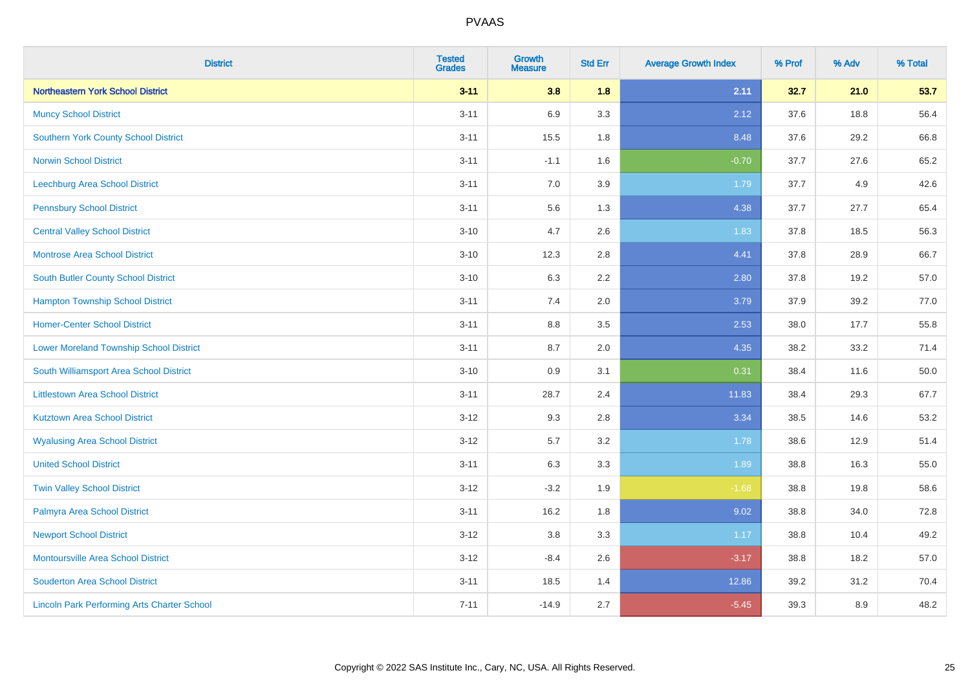| <b>District</b>                                    | <b>Tested</b><br><b>Grades</b> | <b>Growth</b><br><b>Measure</b> | <b>Std Err</b> | <b>Average Growth Index</b> | % Prof | % Adv | % Total |
|----------------------------------------------------|--------------------------------|---------------------------------|----------------|-----------------------------|--------|-------|---------|
| <b>Northeastern York School District</b>           | $3 - 11$                       | 3.8                             | 1.8            | 2.11                        | 32.7   | 21.0  | 53.7    |
| <b>Muncy School District</b>                       | $3 - 11$                       | 6.9                             | 3.3            | 2.12                        | 37.6   | 18.8  | 56.4    |
| <b>Southern York County School District</b>        | $3 - 11$                       | 15.5                            | 1.8            | 8.48                        | 37.6   | 29.2  | 66.8    |
| <b>Norwin School District</b>                      | $3 - 11$                       | $-1.1$                          | 1.6            | $-0.70$                     | 37.7   | 27.6  | 65.2    |
| <b>Leechburg Area School District</b>              | $3 - 11$                       | 7.0                             | 3.9            | 1.79                        | 37.7   | 4.9   | 42.6    |
| <b>Pennsbury School District</b>                   | $3 - 11$                       | 5.6                             | 1.3            | 4.38                        | 37.7   | 27.7  | 65.4    |
| <b>Central Valley School District</b>              | $3 - 10$                       | 4.7                             | 2.6            | 1.83                        | 37.8   | 18.5  | 56.3    |
| <b>Montrose Area School District</b>               | $3 - 10$                       | 12.3                            | 2.8            | 4.41                        | 37.8   | 28.9  | 66.7    |
| South Butler County School District                | $3 - 10$                       | 6.3                             | 2.2            | 2.80                        | 37.8   | 19.2  | 57.0    |
| <b>Hampton Township School District</b>            | $3 - 11$                       | 7.4                             | 2.0            | 3.79                        | 37.9   | 39.2  | 77.0    |
| <b>Homer-Center School District</b>                | $3 - 11$                       | 8.8                             | 3.5            | 2.53                        | 38.0   | 17.7  | 55.8    |
| <b>Lower Moreland Township School District</b>     | $3 - 11$                       | 8.7                             | 2.0            | 4.35                        | 38.2   | 33.2  | 71.4    |
| South Williamsport Area School District            | $3 - 10$                       | $0.9\,$                         | 3.1            | 0.31                        | 38.4   | 11.6  | 50.0    |
| <b>Littlestown Area School District</b>            | $3 - 11$                       | 28.7                            | 2.4            | 11.83                       | 38.4   | 29.3  | 67.7    |
| <b>Kutztown Area School District</b>               | $3 - 12$                       | 9.3                             | 2.8            | 3.34                        | 38.5   | 14.6  | 53.2    |
| <b>Wyalusing Area School District</b>              | $3 - 12$                       | 5.7                             | 3.2            | 1.78                        | 38.6   | 12.9  | 51.4    |
| <b>United School District</b>                      | $3 - 11$                       | 6.3                             | 3.3            | 1.89                        | 38.8   | 16.3  | 55.0    |
| <b>Twin Valley School District</b>                 | $3 - 12$                       | $-3.2$                          | 1.9            | $-1.68$                     | 38.8   | 19.8  | 58.6    |
| Palmyra Area School District                       | $3 - 11$                       | 16.2                            | 1.8            | 9.02                        | 38.8   | 34.0  | 72.8    |
| <b>Newport School District</b>                     | $3 - 12$                       | 3.8                             | 3.3            | 1.17                        | 38.8   | 10.4  | 49.2    |
| Montoursville Area School District                 | $3-12$                         | $-8.4$                          | 2.6            | $-3.17$                     | 38.8   | 18.2  | 57.0    |
| <b>Souderton Area School District</b>              | $3 - 11$                       | 18.5                            | 1.4            | 12.86                       | 39.2   | 31.2  | 70.4    |
| <b>Lincoln Park Performing Arts Charter School</b> | $7 - 11$                       | $-14.9$                         | 2.7            | $-5.45$                     | 39.3   | 8.9   | 48.2    |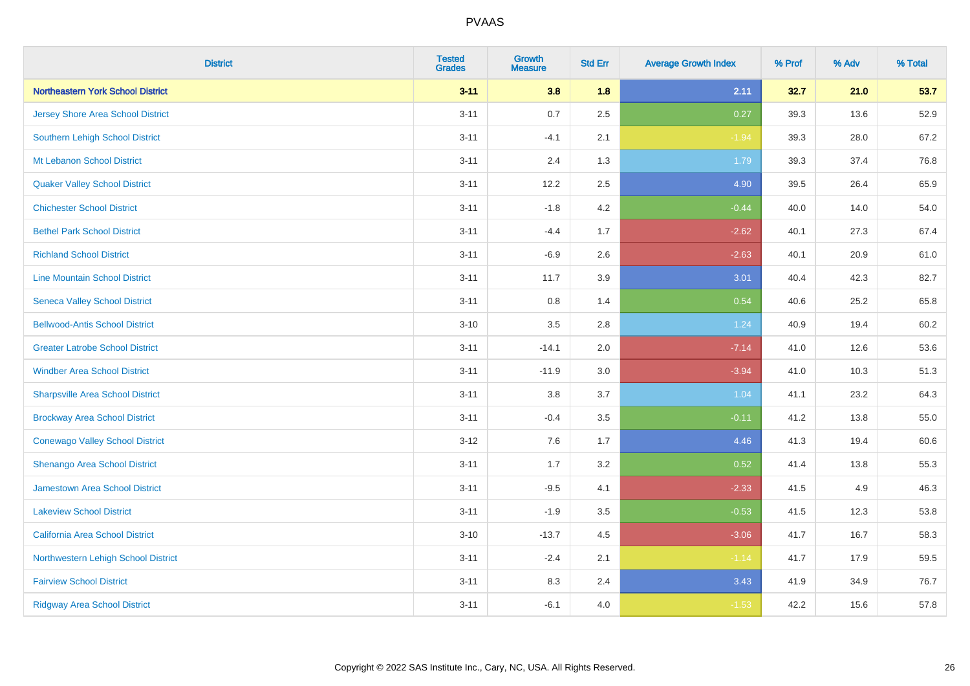| <b>District</b>                         | <b>Tested</b><br><b>Grades</b> | <b>Growth</b><br><b>Measure</b> | <b>Std Err</b> | <b>Average Growth Index</b> | % Prof | % Adv | % Total |
|-----------------------------------------|--------------------------------|---------------------------------|----------------|-----------------------------|--------|-------|---------|
| Northeastern York School District       | $3 - 11$                       | 3.8                             | 1.8            | 2.11                        | 32.7   | 21.0  | 53.7    |
| Jersey Shore Area School District       | $3 - 11$                       | 0.7                             | 2.5            | 0.27                        | 39.3   | 13.6  | 52.9    |
| <b>Southern Lehigh School District</b>  | $3 - 11$                       | $-4.1$                          | 2.1            | $-1.94$                     | 39.3   | 28.0  | 67.2    |
| Mt Lebanon School District              | $3 - 11$                       | 2.4                             | 1.3            | 1.79                        | 39.3   | 37.4  | 76.8    |
| <b>Quaker Valley School District</b>    | $3 - 11$                       | 12.2                            | 2.5            | 4.90                        | 39.5   | 26.4  | 65.9    |
| <b>Chichester School District</b>       | $3 - 11$                       | $-1.8$                          | 4.2            | $-0.44$                     | 40.0   | 14.0  | 54.0    |
| <b>Bethel Park School District</b>      | $3 - 11$                       | $-4.4$                          | 1.7            | $-2.62$                     | 40.1   | 27.3  | 67.4    |
| <b>Richland School District</b>         | $3 - 11$                       | $-6.9$                          | 2.6            | $-2.63$                     | 40.1   | 20.9  | 61.0    |
| <b>Line Mountain School District</b>    | $3 - 11$                       | 11.7                            | 3.9            | 3.01                        | 40.4   | 42.3  | 82.7    |
| <b>Seneca Valley School District</b>    | $3 - 11$                       | 0.8                             | 1.4            | 0.54                        | 40.6   | 25.2  | 65.8    |
| <b>Bellwood-Antis School District</b>   | $3 - 10$                       | 3.5                             | 2.8            | 1.24                        | 40.9   | 19.4  | 60.2    |
| <b>Greater Latrobe School District</b>  | $3 - 11$                       | $-14.1$                         | 2.0            | $-7.14$                     | 41.0   | 12.6  | 53.6    |
| <b>Windber Area School District</b>     | $3 - 11$                       | $-11.9$                         | 3.0            | $-3.94$                     | 41.0   | 10.3  | 51.3    |
| <b>Sharpsville Area School District</b> | $3 - 11$                       | 3.8                             | 3.7            | 1.04                        | 41.1   | 23.2  | 64.3    |
| <b>Brockway Area School District</b>    | $3 - 11$                       | $-0.4$                          | $3.5\,$        | $-0.11$                     | 41.2   | 13.8  | 55.0    |
| <b>Conewago Valley School District</b>  | $3 - 12$                       | 7.6                             | 1.7            | 4.46                        | 41.3   | 19.4  | 60.6    |
| Shenango Area School District           | $3 - 11$                       | 1.7                             | 3.2            | 0.52                        | 41.4   | 13.8  | 55.3    |
| Jamestown Area School District          | $3 - 11$                       | $-9.5$                          | 4.1            | $-2.33$                     | 41.5   | 4.9   | 46.3    |
| <b>Lakeview School District</b>         | $3 - 11$                       | $-1.9$                          | $3.5\,$        | $-0.53$                     | 41.5   | 12.3  | 53.8    |
| <b>California Area School District</b>  | $3 - 10$                       | $-13.7$                         | 4.5            | $-3.06$                     | 41.7   | 16.7  | 58.3    |
| Northwestern Lehigh School District     | $3 - 11$                       | $-2.4$                          | 2.1            | $-1.14$                     | 41.7   | 17.9  | 59.5    |
| <b>Fairview School District</b>         | $3 - 11$                       | 8.3                             | 2.4            | 3.43                        | 41.9   | 34.9  | 76.7    |
| <b>Ridgway Area School District</b>     | $3 - 11$                       | $-6.1$                          | 4.0            | $-1.53$                     | 42.2   | 15.6  | 57.8    |